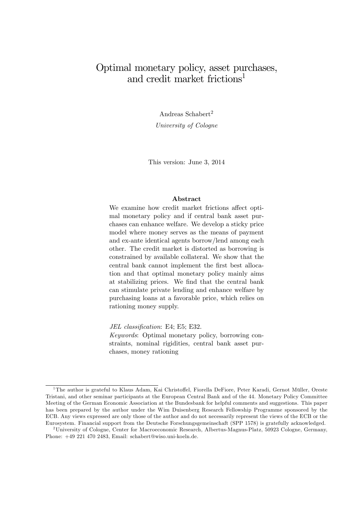# Optimal monetary policy, asset purchases, and credit market frictions<sup>1</sup>

Andreas Schabert<sup>2</sup> University of Cologne

This version: June 3, 2014

### Abstract

We examine how credit market frictions affect optimal monetary policy and if central bank asset purchases can enhance welfare. We develop a sticky price model where money serves as the means of payment and ex-ante identical agents borrow/lend among each other. The credit market is distorted as borrowing is constrained by available collateral. We show that the central bank cannot implement the Örst best allocation and that optimal monetary policy mainly aims at stabilizing prices. We Önd that the central bank can stimulate private lending and enhance welfare by purchasing loans at a favorable price, which relies on rationing money supply.

JEL classification: E4; E5; E32. Keywords: Optimal monetary policy, borrowing constraints, nominal rigidities, central bank asset purchases, money rationing

<sup>&</sup>lt;sup>1</sup>The author is grateful to Klaus Adam, Kai Christoffel, Fiorella DeFiore, Peter Karadi, Gernot Müller, Oreste Tristani, and other seminar participants at the European Central Bank and of the 44. Monetary Policy Committee Meeting of the German Economic Association at the Bundesbank for helpful comments and suggestions. This paper has been prepared by the author under the Wim Duisenberg Research Fellowship Programme sponsored by the ECB. Any views expressed are only those of the author and do not necessarily represent the views of the ECB or the Eurosystem. Financial support from the Deutsche Forschungsgemeinschaft (SPP 1578) is gratefully acknowledged.

<sup>&</sup>lt;sup>2</sup>University of Cologne, Center for Macroeconomic Research, Albertus-Magnus-Platz, 50923 Cologne, Germany, Phone: +49 221 470 2483, Email: schabert@wiso.uni-koeln.de.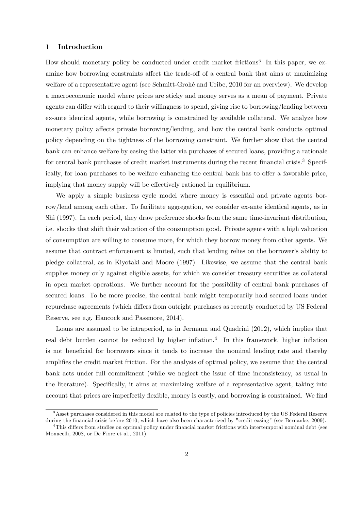### 1 Introduction

How should monetary policy be conducted under credit market frictions? In this paper, we examine how borrowing constraints affect the trade-off of a central bank that aims at maximizing welfare of a representative agent (see Schmitt-Grohé and Uribe, 2010 for an overview). We develop a macroeconomic model where prices are sticky and money serves as a mean of payment. Private agents can differ with regard to their willingness to spend, giving rise to borrowing/lending between ex-ante identical agents, while borrowing is constrained by available collateral. We analyze how monetary policy affects private borrowing/lending, and how the central bank conducts optimal policy depending on the tightness of the borrowing constraint. We further show that the central bank can enhance welfare by easing the latter via purchases of secured loans, providing a rationale for central bank purchases of credit market instruments during the recent financial crisis.<sup>3</sup> Specifically, for loan purchases to be welfare enhancing the central bank has to offer a favorable price, implying that money supply will be effectively rationed in equilibrium.

We apply a simple business cycle model where money is essential and private agents borrow/lend among each other. To facilitate aggregation, we consider ex-ante identical agents, as in Shi (1997). In each period, they draw preference shocks from the same time-invariant distribution, i.e. shocks that shift their valuation of the consumption good. Private agents with a high valuation of consumption are willing to consume more, for which they borrow money from other agents. We assume that contract enforcement is limited, such that lending relies on the borrower's ability to pledge collateral, as in Kiyotaki and Moore (1997). Likewise, we assume that the central bank supplies money only against eligible assets, for which we consider treasury securities as collateral in open market operations. We further account for the possibility of central bank purchases of secured loans. To be more precise, the central bank might temporarily hold secured loans under repurchase agreements (which differs from outright purchases as recently conducted by US Federal Reserve, see e.g. Hancock and Passmore, 2014).

Loans are assumed to be intraperiod, as in Jermann and Quadrini (2012), which implies that real debt burden cannot be reduced by higher inflation.<sup>4</sup> In this framework, higher inflation is not beneficial for borrowers since it tends to increase the nominal lending rate and thereby amplifies the credit market friction. For the analysis of optimal policy, we assume that the central bank acts under full commitment (while we neglect the issue of time inconsistency, as usual in the literature). Specifically, it aims at maximizing welfare of a representative agent, taking into account that prices are imperfectly flexible, money is costly, and borrowing is constrained. We find

<sup>&</sup>lt;sup>3</sup>Asset purchases considered in this model are related to the type of policies introduced by the US Federal Reserve during the financial crisis before 2010, which have also been characterized by "credit easing" (see Bernanke, 2009).

<sup>&</sup>lt;sup>4</sup>This differs from studies on optimal policy under financial market frictions with intertemporal nominal debt (see Monacelli, 2008, or De Fiore et al., 2011).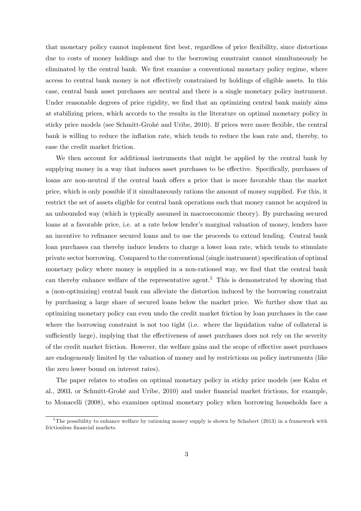that monetary policy cannot implement first best, regardless of price flexibility, since distortions due to costs of money holdings and due to the borrowing constraint cannot simultaneously be eliminated by the central bank. We first examine a conventional monetary policy regime, where access to central bank money is not effectively constrained by holdings of eligible assets. In this case, central bank asset purchases are neutral and there is a single monetary policy instrument. Under reasonable degrees of price rigidity, we find that an optimizing central bank mainly aims at stabilizing prices, which accords to the results in the literature on optimal monetary policy in sticky price models (see Schmitt-Grohé and Uribe, 2010). If prices were more flexible, the central bank is willing to reduce the ináation rate, which tends to reduce the loan rate and, thereby, to ease the credit market friction.

We then account for additional instruments that might be applied by the central bank by supplying money in a way that induces asset purchases to be effective. Specifically, purchases of loans are non-neutral if the central bank offers a price that is more favorable than the market price, which is only possible if it simultaneously rations the amount of money supplied. For this, it restrict the set of assets eligible for central bank operations such that money cannot be acquired in an unbounded way (which is typically assumed in macroeconomic theory). By purchasing secured loans at a favorable price, i.e. at a rate below lender's marginal valuation of money, lenders have an incentive to refinance secured loans and to use the proceeds to extend lending. Central bank loan purchases can thereby induce lenders to charge a lower loan rate, which tends to stimulate private sector borrowing. Compared to the conventional (single instrument) specification of optimal monetary policy where money is supplied in a non-rationed way, we find that the central bank can thereby enhance welfare of the representative agent.<sup>5</sup> This is demonstrated by showing that a (non-optimizing) central bank can alleviate the distortion induced by the borrowing constraint by purchasing a large share of secured loans below the market price. We further show that an optimizing monetary policy can even undo the credit market friction by loan purchases in the case where the borrowing constraint is not too tight (i.e. where the liquidation value of collateral is sufficiently large), implying that the effectiveness of asset purchases does not rely on the severity of the credit market friction. However, the welfare gains and the scope of effective asset purchases are endogenously limited by the valuation of money and by restrictions on policy instruments (like the zero lower bound on interest rates).

The paper relates to studies on optimal monetary policy in sticky price models (see Kahn et al., 2003, or Schmitt-Grohé and Uribe, 2010) and under financial market frictions, for example, to Monacelli (2008), who examines optimal monetary policy when borrowing households face a

<sup>&</sup>lt;sup>5</sup>The possibility to enhance welfare by rationing money supply is shown by Schabert (2013) in a framework with frictionless financial markets.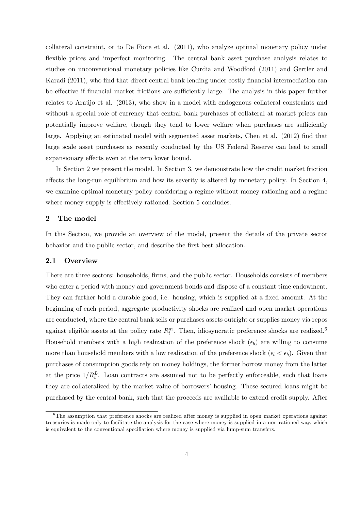collateral constraint, or to De Fiore et al. (2011), who analyze optimal monetary policy under flexible prices and imperfect monitoring. The central bank asset purchase analysis relates to studies on unconventional monetary policies like Curdia and Woodford (2011) and Gertler and Karadi (2011), who find that direct central bank lending under costly financial intermediation can be effective if financial market frictions are sufficiently large. The analysis in this paper further relates to Araújo et al. (2013), who show in a model with endogenous collateral constraints and without a special role of currency that central bank purchases of collateral at market prices can potentially improve welfare, though they tend to lower welfare when purchases are sufficiently large. Applying an estimated model with segmented asset markets, Chen et al. (2012) find that large scale asset purchases as recently conducted by the US Federal Reserve can lead to small expansionary effects even at the zero lower bound.

In Section 2 we present the model. In Section 3, we demonstrate how the credit market friction affects the long-run equilibrium and how its severity is altered by monetary policy. In Section 4, we examine optimal monetary policy considering a regime without money rationing and a regime where money supply is effectively rationed. Section 5 concludes.

### 2 The model

In this Section, we provide an overview of the model, present the details of the private sector behavior and the public sector, and describe the first best allocation.

### 2.1 Overview

There are three sectors: households, firms, and the public sector. Households consists of members who enter a period with money and government bonds and dispose of a constant time endowment. They can further hold a durable good, i.e. housing, which is supplied at a fixed amount. At the beginning of each period, aggregate productivity shocks are realized and open market operations are conducted, where the central bank sells or purchases assets outright or supplies money via repos against eligible assets at the policy rate  $R_t^m$ . Then, idiosyncratic preference shocks are realized.<sup>6</sup> Household members with a high realization of the preference shock  $(\epsilon_b)$  are willing to consume more than household members with a low realization of the preference shock  $(\epsilon_l < \epsilon_b)$ . Given that purchases of consumption goods rely on money holdings, the former borrow money from the latter at the price  $1/R_t^L$ . Loan contracts are assumed not to be perfectly enforceable, such that loans they are collateralized by the market value of borrowers' housing. These secured loans might be purchased by the central bank, such that the proceeds are available to extend credit supply. After

<sup>&</sup>lt;sup>6</sup>The assumption that preference shocks are realized after money is supplied in open market operations against treasuries is made only to facilitate the analysis for the case where money is supplied in a non-rationed way, which is equivalent to the conventional specifiation where money is supplied via lump-sum transfers.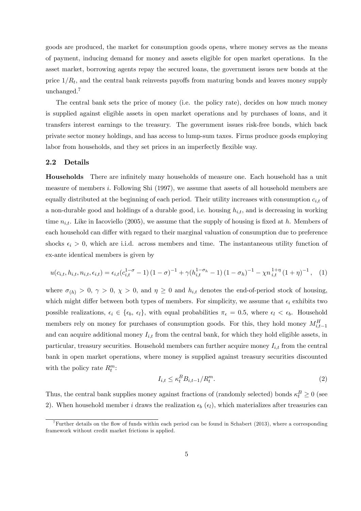goods are produced, the market for consumption goods opens, where money serves as the means of payment, inducing demand for money and assets eligible for open market operations. In the asset market, borrowing agents repay the secured loans, the government issues new bonds at the price  $1/R_t$ , and the central bank reinvests payoffs from maturing bonds and leaves money supply unchanged.<sup>7</sup>

The central bank sets the price of money (i.e. the policy rate), decides on how much money is supplied against eligible assets in open market operations and by purchases of loans, and it transfers interest earnings to the treasury. The government issues risk-free bonds, which back private sector money holdings, and has access to lump-sum taxes. Firms produce goods employing labor from households, and they set prices in an imperfectly flexible way.

### 2.2 Details

**Households** There are infinitely many households of measure one. Each household has a unit measure of members i. Following Shi (1997), we assume that assets of all household members are equally distributed at the beginning of each period. Their utility increases with consumption  $c_{i,t}$  of a non-durable good and holdings of a durable good, i.e. housing  $h_{i,t}$ , and is decreasing in working time  $n_{i,t}$ . Like in Iacoviello (2005), we assume that the supply of housing is fixed at h. Members of each household can differ with regard to their marginal valuation of consumption due to preference shocks  $\epsilon_i > 0$ , which are i.i.d. across members and time. The instantaneous utility function of ex-ante identical members is given by

$$
u(c_{i,t}, h_{i,t}, n_{i,t}, \epsilon_{i,t}) = \epsilon_{i,t}(c_{i,t}^{1-\sigma} - 1)(1-\sigma)^{-1} + \gamma (h_{i,t}^{1-\sigma_h} - 1)(1-\sigma_h)^{-1} - \chi n_{i,t}^{1+\eta} (1+\eta)^{-1}, \quad (1)
$$

where  $\sigma_{(h)} > 0$ ,  $\gamma > 0$ ,  $\chi > 0$ , and  $\eta \geq 0$  and  $h_{i,t}$  denotes the end-of-period stock of housing, which might differ between both types of members. For simplicity, we assume that  $\epsilon_i$  exhibits two possible realizations,  $\epsilon_i \in \{\epsilon_b, \epsilon_l\}$ , with equal probabilities  $\pi_{\epsilon} = 0.5$ , where  $\epsilon_l < \epsilon_b$ . Household members rely on money for purchases of consumption goods. For this, they hold money  $M_{i,t-1}^H$ and can acquire additional money  $I_{i,t}$  from the central bank, for which they hold eligible assets, in particular, treasury securities. Household members can further acquire money  $I_{i,t}$  from the central bank in open market operations, where money is supplied against treasury securities discounted with the policy rate  $R_t^m$ :

$$
I_{i,t} \le \kappa_t^B B_{i,t-1}/R_t^m. \tag{2}
$$

Thus, the central bank supplies money against fractions of (randomly selected) bonds  $\kappa_t^B \ge 0$  (see 2). When household member i draws the realization  $\epsilon_b$  ( $\epsilon_l$ ), which materializes after treasuries can

<sup>&</sup>lt;sup>7</sup>Further details on the flow of funds within each period can be found in Schabert (2013), where a corresponding framework without credit market frictions is applied.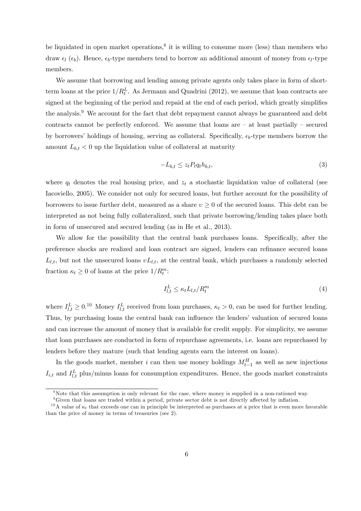be liquidated in open market operations,<sup>8</sup> it is willing to consume more (less) than members who draw  $\epsilon_l$  ( $\epsilon_b$ ). Hence,  $\epsilon_b$ -type members tend to borrow an additional amount of money from  $\epsilon_l$ -type members.

We assume that borrowing and lending among private agents only takes place in form of shortterm loans at the price  $1/R_t^L$ . As Jermann and Quadrini (2012), we assume that loan contracts are signed at the beginning of the period and repaid at the end of each period, which greatly simplifies the analysis.<sup>9</sup> We account for the fact that debt repayment cannot always be guaranteed and debt contracts cannot be perfectly enforced. We assume that loans are  $-$  at least partially  $-$  secured by borrowers' holdings of housing, serving as collateral. Specifically,  $\epsilon_b$ -type members borrow the amount  $L_{b,t} < 0$  up the liquidation value of collateral at maturity

$$
-L_{b,t} \le z_t P_t q_t h_{b,t},\tag{3}
$$

where  $q_t$  denotes the real housing price, and  $z_t$  a stochastic liquidation value of collateral (see Iacoviello, 2005). We consider not only for secured loans, but further account for the possibility of borrowers to issue further debt, measured as a share  $v \geq 0$  of the secured loans. This debt can be interpreted as not being fully collateralized, such that private borrowing/lending takes place both in form of unsecured and secured lending (as in He et al., 2013).

We allow for the possibility that the central bank purchases loans. Specifically, after the preference shocks are realized and loan contract are signed, lenders can refinance secured loans  $L_{l,t}$ , but not the unsecured loans  $vL_{l,t}$ , at the central bank, which purchases a randomly selected fraction  $\kappa_t \geq 0$  of loans at the price  $1/R_t^m$ :

$$
I_{l,t}^L \le \kappa_t L_{l,t}/R_t^m \tag{4}
$$

where  $I_{l,t}^L \geq 0.10$  Money  $I_{l,t}^L$  received from loan purchases,  $\kappa_t > 0$ , can be used for further lending. Thus, by purchasing loans the central bank can influence the lenders' valuation of secured loans and can increase the amount of money that is available for credit supply. For simplicity, we assume that loan purchases are conducted in form of repurchase agreements, i.e. loans are repurchased by lenders before they mature (such that lending agents earn the interest on loans).

In the goods market, member i can then use money holdings  $M_{t-1}^H$  as well as new injections  $I_{i,t}$  and  $I_{l,t}^L$  plus/minus loans for consumption expenditures. Hence, the goods market constraints

<sup>&</sup>lt;sup>8</sup>Note that this assumption is only relevant for the case, where money is supplied in a non-rationed way.

 $9^9$ Given that loans are traded within a period, private sector debt is not directly affected by inflation.

<sup>&</sup>lt;sup>10</sup>A value of  $\kappa_t$  that exceeds one can in principle be interpreted as purchases at a price that is even more favorable than the price of money in terms of treasuries (see 2).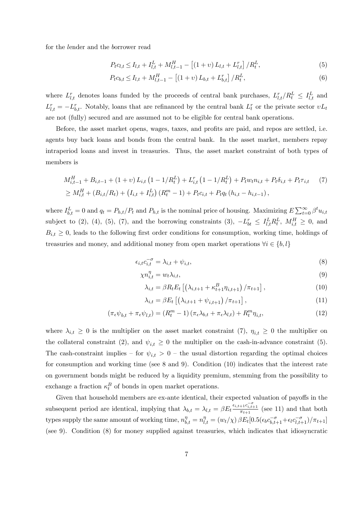for the lender and the borrower read

$$
P_t c_{l,t} \le I_{l,t} + I_{l,t}^L + M_{l,t-1}^H - [(1+\nu) L_{l,t} + L_{l,t}^r] / R_t^L,
$$
\n(5)

$$
P_t c_{b,t} \le I_{l,t} + M_{l,t-1}^H - \left[ (1+v) L_{b,t} + L_{b,t}^r \right] / R_t^L,
$$
\n(6)

where  $L_{l,t}^r$  denotes loans funded by the proceeds of central bank purchases,  $L_{l,t}^r/R_t^L \leq I_{l,t}^L$  and  $L_{l,t}^r = -L_{b,t}^r$ . Notably, loans that are refinanced by the central bank  $L_t^r$  or the private sector  $vL_t$ are not (fully) secured and are assumed not to be eligible for central bank operations.

Before, the asset market opens, wages, taxes, and profits are paid, and repos are settled, i.e. agents buy back loans and bonds from the central bank. In the asset market, members repay intraperiod loans and invest in treasuries. Thus, the asset market constraint of both types of members is

$$
M_{i,t-1}^{H} + B_{i,t-1} + (1 + v) L_{i,t} (1 - 1/R_t^L) + L_{i,t}^{r} (1 - 1/R_t^L) + P_t w_t n_{i,t} + P_t \delta_{i,t} + P_t \tau_{i,t} \qquad (7)
$$
  
\n
$$
\geq M_{i,t}^{H} + (B_{i,t}/R_t) + (I_{i,t} + I_{i,t}^{L}) (R_t^m - 1) + P_t c_{i,t} + P_t q_t (h_{i,t} - h_{i,t-1}),
$$

where  $I_{b,t}^L = 0$  and  $q_t = P_{h,t}/P_t$  and  $P_{h,t}$  is the nominal price of housing. Maximizing  $E \sum_{t=0}^{\infty} \beta^t u_{i,t}$ subject to (2), (4), (5), (7), and the borrowing constraints (3),  $-L_{bt}^r \leq I_{l,t}^L R_t^L$ ,  $M_{i,t}^H \geq 0$ , and  $B_{i,t} \geq 0$ , leads to the following first order conditions for consumption, working time, holdings of treasuries and money, and additional money from open market operations  $\forall i \in \{b, l\}$ 

$$
\epsilon_{i,t} c_{i,t}^{-\sigma} = \lambda_{i,t} + \psi_{i,t},\tag{8}
$$

$$
\chi n_{i,t}^{\eta} = w_t \lambda_{i,t},\tag{9}
$$

$$
\lambda_{i,t} = \beta R_t E_t \left[ \left( \lambda_{i,t+1} + \kappa_{t+1}^B \eta_{i,t+1} \right) / \pi_{t+1} \right], \tag{10}
$$

$$
\lambda_{i,t} = \beta E_t \left[ \left( \lambda_{i,t+1} + \psi_{i,t+1} \right) / \pi_{t+1} \right], \tag{11}
$$

$$
\left(\pi_{\epsilon}\psi_{b,t} + \pi_{\epsilon}\psi_{l,t}\right) = \left(R_t^m - 1\right)\left(\pi_{\epsilon}\lambda_{b,t} + \pi_{\epsilon}\lambda_{l,t}\right) + R_t^m \eta_{i,t},\tag{12}
$$

where  $\lambda_{i,t} \geq 0$  is the multiplier on the asset market constraint (7),  $\eta_{i,t} \geq 0$  the multiplier on the collateral constraint (2), and  $\psi_{i,t} \geq 0$  the multiplier on the cash-in-advance constraint (5). The cash-constraint implies – for  $\psi_{i,t} > 0$  – the usual distortion regarding the optimal choices for consumption and working time (see 8 and 9). Condition (10) indicates that the interest rate on government bonds might be reduced by a liquidity premium, stemming from the possibility to exchange a fraction  $\kappa_t^B$  of bonds in open market operations.

Given that household members are ex-ante identical, their expected valuation of payoffs in the subsequent period are identical, implying that  $\lambda_{b,t} = \lambda_{l,t} = \beta E_t \frac{\epsilon_{i,t+1} c_{i,t+1}^{-\sigma}}{\pi_{t+1}}$  (see 11) and that both types supply the same amount of working time,  $n_{b,t}^{\eta} = n_{l,t}^{\eta} = (w_t/\chi) \beta E_t [0.5(\epsilon_b c_{b,t+1}^{-\sigma} + \epsilon_l c_{l,t+1}^{-\sigma})/\pi_{t+1}]$ (see 9). Condition (8) for money supplied against treasuries, which indicates that idiosyncratic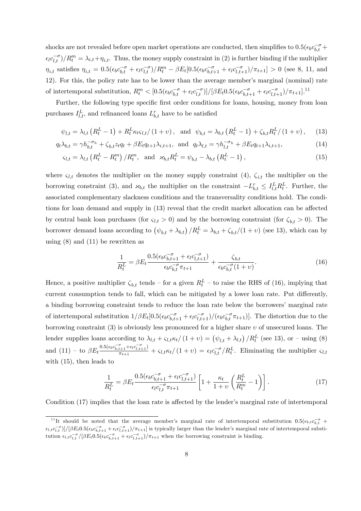shocks are not revealed before open market operations are conducted, then simplifies to  $0.5(\epsilon_b c_{b,t}^{-\sigma} +$  $\epsilon_l c_{l,t}^{-\sigma}$  /  $R_t^m = \lambda_{i,t} + \eta_{i,t}$ . Thus, the money supply constraint in (2) is further binding if the multiplier  $\eta_{i,t}$  satisfies  $\eta_{i,t} = 0.5(\epsilon_b c_{b,t}^{-\sigma} + \epsilon_l c_{l,t}^{-\sigma})/R_t^m - \beta E_t[0.5(\epsilon_b c_{b,t+1}^{-\sigma} + \epsilon_l c_{l,t+1}^{-\sigma})/\pi_{t+1}] > 0$  (see 8, 11, and 12). For this, the policy rate has to be lower than the average member's marginal (nominal) rate of intertemporal substitution,  $R_t^m < [0.5(\epsilon_b c_{b,t}^{-\sigma} + \epsilon_l c_{l,t}^{-\sigma})]/[\beta E_t 0.5(\epsilon_b c_{b,t+1}^{-\sigma} + \epsilon_l c_{l,t+1}^{-\sigma})/\pi_{t+1}]$ .<sup>11</sup>

Further, the following type specific first order conditions for loans, housing, money from loan purchases  $I_{l,t}^L$ , and refinanced loans  $L_{b,t}^r$  have to be satisfied

$$
\psi_{l,t} = \lambda_{l,t} \left( R_t^L - 1 \right) + R_t^L \kappa_t \varsigma_{l,t} / (1 + v), \text{ and } \psi_{b,t} = \lambda_{b,t} \left( R_t^L - 1 \right) + \zeta_{b,t} R_t^L / (1 + v), \tag{13}
$$

$$
q_t \lambda_{b,t} = \gamma h_{b,t}^{-\sigma_h} + \zeta_{b,t} z_t q_t + \beta E_t q_{t+1} \lambda_{i,t+1}, \text{ and } q_t \lambda_{l,t} = \gamma h_{l,t}^{-\sigma_h} + \beta E_t q_{t+1} \lambda_{i,t+1}, \tag{14}
$$

$$
\varsigma_{l,t} = \lambda_{l,t} \left( R_t^L - R_t^m \right) / R_t^m, \text{ and } \mathcal{Z}_{b,t} R_t^L = \psi_{b,t} - \lambda_{b,t} \left( R_t^L - 1 \right), \tag{15}
$$

where  $\varsigma_{l,t}$  denotes the multiplier on the money supply constraint (4),  $\varsigma_{i,t}$  the multiplier on the borrowing constraint (3), and  $\varkappa_{b,t}$  the multiplier on the constraint  $-L_{b,t}^r \leq I_{l,t}^L R_t^L$ . Further, the associated complementary slackness conditions and the transversality conditions hold. The conditions for loan demand and supply in  $(13)$  reveal that the credit market allocation can be affected by central bank loan purchases (for  $\varsigma_{l,t} > 0$ ) and by the borrowing constraint (for  $\zeta_{b,t} > 0$ ). The borrower demand loans according to  $(\psi_{b,t} + \lambda_{b,t})/R_t^L = \lambda_{b,t} + \zeta_{b,t}/(1+v)$  (see 13), which can by using  $(8)$  and  $(11)$  be rewritten as

$$
\frac{1}{R_t^L} = \beta E_t \frac{0.5(\epsilon_b c_{b,t+1}^{-\sigma} + \epsilon_l c_{l,t+1}^{-\sigma})}{\epsilon_b c_{b,t}^{-\sigma} \pi_{t+1}} + \frac{\zeta_{b,t}}{\epsilon_b c_{b,t}^{-\sigma} (1+v)}.
$$
(16)

Hence, a positive multiplier  $\zeta_{b,t}$  tends – for a given  $R_t^L$  – to raise the RHS of (16), implying that current consumption tends to fall, which can be mitigated by a lower loan rate. Put differently, a binding borrowing constraint tends to reduce the loan rate below the borrowers' marginal rate of intertemporal substitution  $1/\beta E_t[0.5(\epsilon_b c_{b,t+1}^{-\sigma} + \epsilon_l c_{l,t+1}^{-\sigma})/(\epsilon_b c_{b,t}^{-\sigma} \pi_{t+1})]$ . The distortion due to the borrowing constraint  $(3)$  is obviously less pronounced for a higher share  $v$  of unsecured loans. The lender supplies loans according to  $\lambda_{l,t} + \varsigma_{l,t} \kappa_t / (1 + v) = (\psi_{l,t} + \lambda_{l,t}) / R_t^L$  (see 13), or – using (8) and  $(11)$  – to  $\beta E_t \frac{0.5(\epsilon_b c_{b,t+1}^{-\sigma} + \epsilon_l c_{l,t+1}^{-\sigma})}{\pi_{t+1}}$  $\frac{t+1+ \epsilon_l c_{l,t+1}}{\pi_{t+1}} + \frac{\epsilon_{l,t}}{\kappa_t} \frac{K_t}{\kappa_t}$  (1 + v) =  $\frac{\epsilon_l c_{l,t}^{-\sigma}}{R_t}$ . Eliminating the multiplier  $\epsilon_{l,t}$ with  $(15)$ , then leads to

$$
\frac{1}{R_t^L} = \beta E_t \frac{0.5(\epsilon_b c_{b,t+1}^{-\sigma} + \epsilon_l c_{l,t+1}^{-\sigma})}{\epsilon_l c_{l,t}^{-\sigma} \pi_{t+1}} \left[ 1 + \frac{\kappa_t}{1+v} \left( \frac{R_t^L}{R_t^m} - 1 \right) \right]. \tag{17}
$$

Condition  $(17)$  implies that the loan rate is affected by the lender's marginal rate of intertemporal

<sup>&</sup>lt;sup>11</sup>It should be noted that the average member's marginal rate of intertemporal substitution  $0.5(\epsilon_{b,t}c_{b,t}^{-\sigma} +$  $\epsilon_{l,t} c_{l,t}^{-\sigma}$ )]/[ $\beta E_t 0.5(\epsilon_b c_{b,t+1}^{-\sigma} + \epsilon_l c_{l,t+1}^{-\sigma})/\pi_{t+1}$ ] is typically larger than the lender's marginal rate of intertemporal substitution  $\epsilon_{l,t} c_{l,t}^{-\sigma}/[\beta E_t 0.5(\epsilon_b c_{b,t+1}^{-\sigma} + \epsilon_l c_{l,t+1}^{-\sigma})/\pi_{t+1}$  when the borrowing constraint is binding.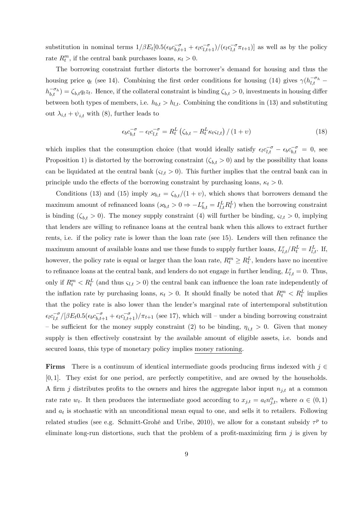substitution in nominal terms  $1/\beta E_t[0.5(\epsilon_b c_{b,t+1}^{-\sigma} + \epsilon_l c_{l,t+1}^{-\sigma})/(\epsilon_l c_{l,t}^{-\sigma} \pi_{t+1})]$  as well as by the policy rate  $R_t^m$ , if the central bank purchases loans,  $\kappa_t > 0$ .

The borrowing constraint further distorts the borrower's demand for housing and thus the housing price  $q_t$  (see 14). Combining the first order conditions for housing (14) gives  $\gamma(h_{l,t}^{-\sigma_h}$  $h_{b,t}^{-\sigma_h} = \zeta_{b,t} q_t z_t$ . Hence, if the collateral constraint is binding  $\zeta_{b,t} > 0$ , investments in housing differ between both types of members, i.e.  $h_{b,t} > h_{l,t}$ . Combining the conditions in (13) and substituting out  $\lambda_{i,t} + \psi_{i,t}$  with (8), further leads to

$$
\epsilon_b c_{b,t}^{-\sigma} - \epsilon_l c_{l,t}^{-\sigma} = R_t^L \left( \zeta_{b,t} - R_t^L \kappa_t \zeta_{l,t} \right) / \left( 1 + v \right) \tag{18}
$$

which implies that the consumption choice (that would ideally satisfy  $\epsilon_l c_{l,t}^{-\sigma} - \epsilon_b c_{b,t}^{-\sigma} = 0$ , see Proposition 1) is distorted by the borrowing constraint  $(\zeta_{b,t} > 0)$  and by the possibility that loans can be liquidated at the central bank  $(s_{l,t} > 0)$ . This further implies that the central bank can in principle undo the effects of the borrowing constraint by purchasing loans,  $\kappa_t > 0$ .

Conditions (13) and (15) imply  $\varkappa_{b,t} = \zeta_{b,t}/(1 + v)$ , which shows that borrowers demand the maximum amount of refinanced loans  $({\varkappa}_{b,t} > 0 \Rightarrow -L_{b,t}^r = I_{l,t}^L R_t^L$  when the borrowing constraint is binding  $(\zeta_{b,t} > 0)$ . The money supply constraint (4) will further be binding,  $\zeta_{l,t} > 0$ , implying that lenders are willing to refinance loans at the central bank when this allows to extract further rents, i.e. if the policy rate is lower than the loan rate (see 15). Lenders will then refinance the maximum amount of available loans and use these funds to supply further loans,  $L_{l,t}^{r}/R_t^L = I_{l,t}^L$ . If, however, the policy rate is equal or larger than the loan rate,  $R_t^m \ge R_t^L$ , lenders have no incentive to refinance loans at the central bank, and lenders do not engage in further lending,  $L_{l,t}^r = 0$ . Thus, only if  $R_t^m < R_t^L$  (and thus  $\varsigma_{l,t} > 0$ ) the central bank can influence the loan rate independently of the inflation rate by purchasing loans,  $\kappa_t > 0$ . It should finally be noted that  $R_t^m < R_t^L$  implies that the policy rate is also lower than the lender's marginal rate of intertemporal substitution  $\epsilon_l c_{l,t}^{-\sigma}/[\beta E_t 0.5(\epsilon_b c_{b,t+1}^{-\sigma} + \epsilon_l c_{l,t+1}^{-\sigma})/\pi_{t+1}$  (see 17), which will – under a binding borrowing constraint – be sufficient for the money supply constraint (2) to be binding,  $\eta_{i,t} > 0$ . Given that money supply is then effectively constraint by the available amount of eligible assets, i.e. bonds and secured loans, this type of monetary policy implies money rationing.

**Firms** There is a continuum of identical intermediate goods producing firms indexed with  $j \in$ [0; 1]. They exist for one period, are perfectly competitive, and are owned by the households. A firm j distributes profits to the owners and hires the aggregate labor input  $n_{i,t}$  at a common rate rate  $w_t$ . It then produces the intermediate good according to  $x_{j,t} = a_t n_{j,t}^{\alpha}$ , where  $\alpha \in (0,1)$ and  $a_t$  is stochastic with an unconditional mean equal to one, and sells it to retailers. Following related studies (see e.g. Schmitt-Grohé and Uribe, 2010), we allow for a constant subsidy  $\tau^p$  to eliminate long-run distortions, such that the problem of a profit-maximizing firm  $j$  is given by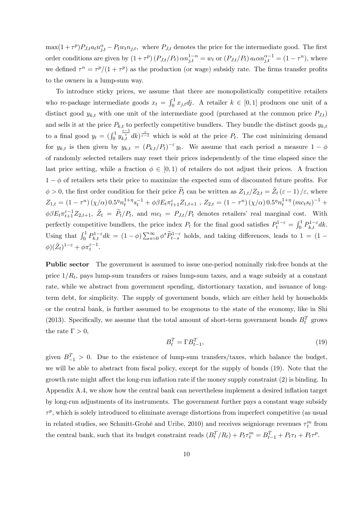$\max(1+\tau^p)P_{J,t}a_t n_{j,t}^{\alpha} - P_t w_t n_{j,t}$ , where  $P_{J,t}$  denotes the price for the intermediate good. The first order conditions are given by  $(1+\tau^p)(P_{J,t}/P_t) \alpha n_{j,t}^{1-\alpha} = w_t$  or  $(P_{J,t}/P_t) a_t \alpha n_{j,t}^{\alpha-1} = (1-\tau^n)$ , where we defined  $\tau^n = \tau^p/(1 + \tau^p)$  as the production (or wage) subsidy rate. The firms transfer profits to the owners in a lump-sum way.

To introduce sticky prices, we assume that there are monopolistically competitive retailers who re-package intermediate goods  $x_t = \int_0^1 x_{j,t} dt$ . A retailer  $k \in [0,1]$  produces one unit of a distinct good  $y_{k,t}$  with one unit of the intermediate good (purchased at the common price  $P_{J,t}$ ) and sells it at the price  $P_{k,t}$  to perfectly competitive bundlers. They bundle the distinct goods  $y_{k,t}$ to a final good  $y_t = \left(\int_0^1 y_{k,t}^{\frac{\varepsilon-1}{\varepsilon}} dk\right)^{\frac{\varepsilon}{\varepsilon-1}}$  which is sold at the price  $P_t$ . The cost minimizing demand for  $y_{k,t}$  is then given by  $y_{k,t} = (P_{k,t}/P_t)^{-\epsilon} y_t$ . We assume that each period a measure  $1-\phi$ of randomly selected retailers may reset their prices independently of the time elapsed since the last price setting, while a fraction  $\phi \in [0, 1)$  of retailers do not adjust their prices. A fraction  $1 - \phi$  of retailers sets their price to maximize the expected sum of discounted future profits. For  $\phi > 0$ , the first order condition for their price  $\widetilde{P}_t$  can be written as  $Z_{1,t}/Z_{2,t} = \widetilde{Z}_t (\varepsilon - 1)/\varepsilon$ , where  $Z_{1,t} = (1 - \tau^n) (\chi/\alpha) 0.5^n n_t^{1+\eta}$  $\int_t^{1+\eta} s_t^{-1} + \phi \beta E_t \pi_{t+1}^{\varepsilon} Z_{1,t+1}$ ,  $Z_{2,t} = (1-\tau^n) (\chi/\alpha) 0.5^n n_t^{1+\eta}$  $_{t}^{1+\eta}$   $(mc_ts_t)^{-1}$  +  $\phi\beta E_t \pi_{t+1}^{\varepsilon-1} Z_{2,t+1}, \quad \tilde{Z}_t = \tilde{P}_t/P_t$ , and  $mc_t = P_{J,t}/P_t$  denotes retailers' real marginal cost. With perfectly competitive bundlers, the price index  $P_t$  for the final good satisfies  $P_t^{1-\varepsilon} = \int_0^1 P_{k,t}^{1-\varepsilon} dk$ . Using that  $\int_0^1 P_{k,t}^{1-\epsilon} dk = (1-\phi) \sum_{s=0}^{\infty} \phi^s \tilde{P}_{t-s}^{1-\epsilon}$  holds, and taking differences, leads to  $1 = (1-\phi) \sum_{s=0}^{\infty} \phi^s \tilde{P}_{t-s}^{1-\epsilon}$  $\phi$ ) $(\tilde{Z}_t)^{1-\varepsilon} + \phi \pi_t^{\varepsilon-1}$ .

Public sector The government is assumed to issue one-period nominally risk-free bonds at the price  $1/R_t$ , pays lump-sum transfers or raises lump-sum taxes, and a wage subsidy at a constant rate, while we abstract from government spending, distortionary taxation, and issuance of longterm debt, for simplicity. The supply of government bonds, which are either held by households or the central bank, is further assumed to be exogenous to the state of the economy, like in Shi (2013). Specifically, we assume that the total amount of short-term government bonds  $B_t^T$  grows the rate  $\Gamma > 0$ ,

$$
B_t^T = \Gamma B_{t-1}^T,\tag{19}
$$

given  $B_{-1}^T > 0$ . Due to the existence of lump-sum transfers/taxes, which balance the budget, we will be able to abstract from fiscal policy, except for the supply of bonds (19). Note that the growth rate might affect the long-run inflation rate if the money supply constraint  $(2)$  is binding. In Appendix A.4, we show how the central bank can nevertheless implement a desired inflation target by long-run adjustments of its instruments. The government further pays a constant wage subsidy  $\tau^p$ , which is solely introduced to eliminate average distortions from imperfect competitive (as usual in related studies, see Schmitt-Grohé and Uribe, 2010) and receives seigniorage revenues  $\tau_t^m$  from the central bank, such that its budget constraint reads  $(B_t^T/R_t) + P_t \tau_t^m = B_{t-1}^T + P_t \tau_t + P_t \tau^p$ .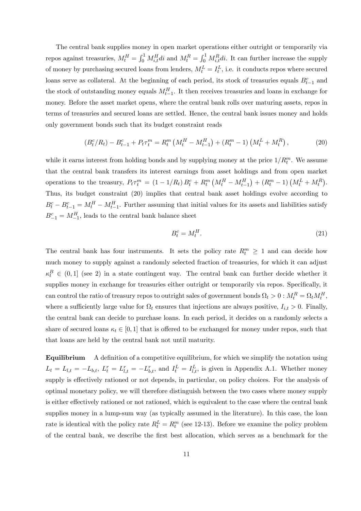The central bank supplies money in open market operations either outright or temporarily via repos against treasuries,  $M_t^H = \int_0^1 M_{i,t}^H di$  and  $M_t^R = \int_0^1 M_{i,t}^R di$ . It can further increase the supply of money by purchasing secured loans from lenders,  $M_t^L = I_t^L$ , i.e. it conducts repos where secured loans serve as collateral. At the beginning of each period, its stock of treasuries equals  $B_{t-1}^c$  and the stock of outstanding money equals  $M_{t-1}^H$ . It then receives treasuries and loans in exchange for money. Before the asset market opens, where the central bank rolls over maturing assets, repos in terms of treasuries and secured loans are settled. Hence, the central bank issues money and holds only government bonds such that its budget constraint reads

$$
(B_t^c/R_t) - B_{t-1}^c + P_t \tau_t^m = R_t^m \left( M_t^H - M_{t-1}^H \right) + (R_t^m - 1) \left( M_t^L + M_t^R \right), \tag{20}
$$

while it earns interest from holding bonds and by supplying money at the price  $1/R_t^m$ . We assume that the central bank transfers its interest earnings from asset holdings and from open market operations to the treasury,  $P_t \tau_t^m = (1 - 1/R_t) B_t^c + R_t^m (M_t^H - M_{t-1}^H) + (R_t^m - 1) (M_t^L + M_t^R)$ . Thus, its budget constraint (20) implies that central bank asset holdings evolve according to  $B_t^c - B_{t-1}^c = M_t^H - M_{t-1}^H$ . Further assuming that initial values for its assets and liabilities satisfy  $B_{-1}^c = M_{-1}^H$ , leads to the central bank balance sheet

$$
B_t^c = M_t^H. \tag{21}
$$

The central bank has four instruments. It sets the policy rate  $R_t^m \geq 1$  and can decide how much money to supply against a randomly selected fraction of treasuries, for which it can adjust  $\kappa_t^B \in (0,1]$  (see 2) in a state contingent way. The central bank can further decide whether it supplies money in exchange for treasuries either outright or temporarily via repos. Specifically, it can control the ratio of treasury repos to outright sales of government bonds  $\Omega_t > 0$  :  $M_t^R = \Omega_t M_t^H$ , where a sufficiently large value for  $\Omega_t$  ensures that injections are always positive,  $I_{i,t} > 0$ . Finally, the central bank can decide to purchase loans. In each period, it decides on a randomly selects a share of secured loans  $\kappa_t \in [0, 1]$  that is offered to be exchanged for money under repos, such that that loans are held by the central bank not until maturity.

Equilibrium A definition of a competitive equilibrium, for which we simplify the notation using  $L_t = L_{l,t} = -L_{b,t}$ ,  $L_t^r = L_{l,t}^r = -L_{b,t}^r$ , and  $I_t^L = I_{l,t}^L$ , is given in Appendix A.1. Whether money supply is effectively rationed or not depends, in particular, on policy choices. For the analysis of optimal monetary policy, we will therefore distinguish between the two cases where money supply is either effectively rationed or not rationed, which is equivalent to the case where the central bank supplies money in a lump-sum way (as typically assumed in the literature). In this case, the loan rate is identical with the policy rate  $R_t^L = R_t^m$  (see 12-13). Before we examine the policy problem of the central bank, we describe the Örst best allocation, which serves as a benchmark for the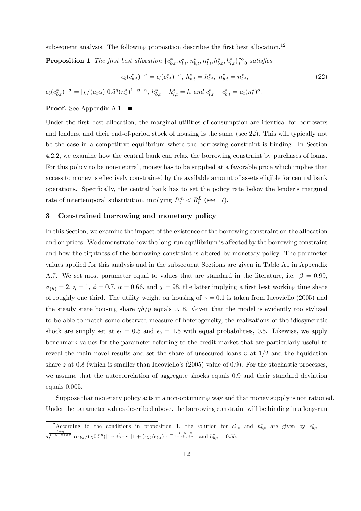subsequent analysis. The following proposition describes the first best allocation.<sup>12</sup>

**Proposition 1** The first best allocation  $\{c_{b,t}^*, c_{l,t}^*, n_{b,t}^*, n_{l,t}^*, h_{b,t}^*, h_{l,t}^*\}_{t=0}^\infty$  satisfies

$$
\epsilon_b(c_{b,t}^*)^{-\sigma} = \epsilon_l(c_{l,t}^*)^{-\sigma}, \ h_{b,t}^* = h_{l,t}^*, \ n_{b,t}^* = n_{l,t}^*,
$$
\n
$$
\epsilon_b(c_{b,t}^*)^{-\sigma} = [\chi/(a_t \alpha)]0.5^{\eta}(n_t^*)^{1+\eta-\alpha}, \ h_{b,t}^* + h_{l,t}^* = h \ \text{and} \ c_{l,t}^* + c_{b,t}^* = a_t(n_t^*)^{\alpha}.
$$
\n
$$
(22)
$$

### **Proof.** See Appendix A.1.  $\blacksquare$

Under the first best allocation, the marginal utilities of consumption are identical for borrowers and lenders, and their end-of-period stock of housing is the same (see 22). This will typically not be the case in a competitive equilibrium where the borrowing constraint is binding. In Section 4.2.2, we examine how the central bank can relax the borrowing constraint by purchases of loans. For this policy to be non-neutral, money has to be supplied at a favorable price which implies that access to money is effectively constrained by the available amount of assets eligible for central bank operations. Specifically, the central bank has to set the policy rate below the lender's marginal rate of intertemporal substitution, implying  $R_t^m < R_t^L$  (see 17).

## 3 Constrained borrowing and monetary policy

In this Section, we examine the impact of the existence of the borrowing constraint on the allocation and on prices. We demonstrate how the long-run equilibrium is affected by the borrowing constraint and how the tightness of the borrowing constraint is altered by monetary policy. The parameter values applied for this analysis and in the subsequent Sections are given in Table A1 in Appendix A.7. We set most parameter equal to values that are standard in the literature, i.e.  $\beta = 0.99$ ,  $\sigma_{(h)} = 2, \eta = 1, \phi = 0.7, \alpha = 0.66, \text{ and } \chi = 98, \text{ the latter implying a first best working time share }$ of roughly one third. The utility weight on housing of  $\gamma = 0.1$  is taken from Iacoviello (2005) and the steady state housing share  $qh/y$  equals 0.18. Given that the model is evidently too stylized to be able to match some observed measure of heterogeneity, the realizations of the idiosyncratic shock are simply set at  $\epsilon_l = 0.5$  and  $\epsilon_b = 1.5$  with equal probabilities, 0.5. Likewise, we apply benchmark values for the parameter referring to the credit market that are particularly useful to reveal the main novel results and set the share of unsecured loans  $v$  at  $1/2$  and the liquidation share z at 0.8 (which is smaller than Iacoviello's  $(2005)$  value of 0.9). For the stochastic processes, we assume that the autocorrelation of aggregate shocks equals 0:9 and their standard deviation equals 0.005.

Suppose that monetary policy acts in a non-optimizing way and that money supply is not rationed. Under the parameter values described above, the borrowing constraint will be binding in a long-run

<sup>&</sup>lt;sup>12</sup>According to the conditions in proposition 1, the solution for  $c_{b,t}^*$  and  $h_{b,t}^*$  are given by  $c_{b,t}^*$  =  $a_t^{\frac{1+\eta}{1-\alpha+\eta+\alpha\sigma}}[\alpha\epsilon_{b,t}/(\chi 0.5^{\eta})]^{\frac{\alpha}{1-\alpha+\eta+\alpha\sigma}}[1+(\epsilon_{l,t}/\epsilon_{b,t})^{\frac{1}{\sigma}}]^{-\frac{1-\alpha+\eta}{1-\alpha+\eta+\alpha\sigma}}$  and  $h_{b,t}^*=0.5h$ .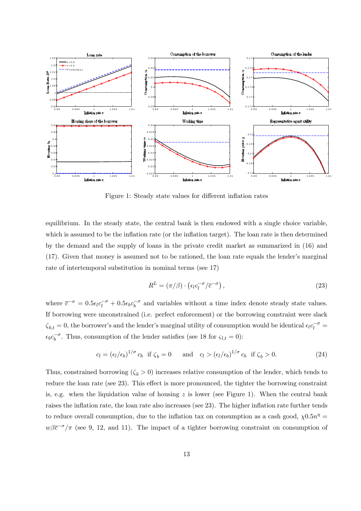

Figure 1: Steady state values for different inflation rates

equilibrium. In the steady state, the central bank is then endowed with a single choice variable, which is assumed to be the inflation rate (or the inflation target). The loan rate is then determined by the demand and the supply of loans in the private credit market as summarized in (16) and  $(17)$ . Given that money is assumed not to be rationed, the loan rate equals the lender's marginal rate of intertemporal substitution in nominal terms (see 17)

$$
R^{L} = (\pi/\beta) \cdot \left(\epsilon_l c_l^{-\sigma}/\overline{c}^{-\sigma}\right),\tag{23}
$$

where  $\bar{c}^{-\sigma} = 0.5\epsilon_l c_l^{-\sigma} + 0.5\epsilon_b c_b^{-\sigma}$  and variables without a time index denote steady state values. If borrowing were unconstrained (i.e. perfect enforcement) or the borrowing constraint were slack  $\zeta_{b,t} = 0$ , the borrower's and the lender's marginal utility of consumption would be identical  $\epsilon_l c_l^{-\sigma} =$  $\epsilon_b c_b^{-\sigma}$ . Thus, consumption of the lender satisfies (see 18 for  $\varsigma_{l,t} = 0$ ):

$$
c_l = \left(\frac{\epsilon_l}{\epsilon_b}\right)^{1/\sigma} c_b \text{ if } \zeta_b = 0 \quad \text{and} \quad c_l > \left(\frac{\epsilon_l}{\epsilon_b}\right)^{1/\sigma} c_b \text{ if } \zeta_b > 0. \tag{24}
$$

Thus, constrained borrowing  $(\zeta_b > 0)$  increases relative consumption of the lender, which tends to reduce the loan rate (see 23). This effect is more pronounced, the tighter the borrowing constraint is, e.g. when the liquidation value of housing  $z$  is lower (see Figure 1). When the central bank raises the inflation rate, the loan rate also increases (see 23). The higher inflation rate further tends to reduce overall consumption, due to the inflation tax on consumption as a cash good,  $\chi$ 0.5n<sup>n</sup> =  $w\beta\bar{c}^{-\sigma}/\pi$  (see 9, 12, and 11). The impact of a tighter borrowing constraint on consumption of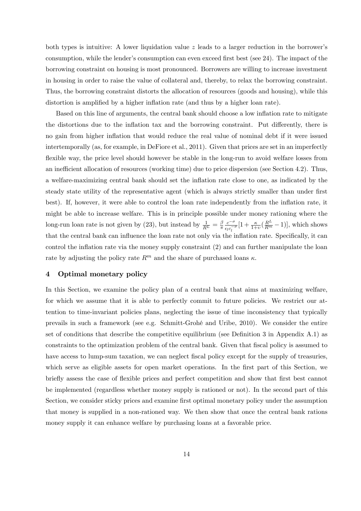both types is intuitive: A lower liquidation value  $z$  leads to a larger reduction in the borrower's consumption, while the lender's consumption can even exceed first best (see  $24$ ). The impact of the borrowing constraint on housing is most pronounced. Borrowers are willing to increase investment in housing in order to raise the value of collateral and, thereby, to relax the borrowing constraint. Thus, the borrowing constraint distorts the allocation of resources (goods and housing), while this distortion is amplified by a higher inflation rate (and thus by a higher loan rate).

Based on this line of arguments, the central bank should choose a low inflation rate to mitigate the distortions due to the inflation tax and the borrowing constraint. Put differently, there is no gain from higher inflation that would reduce the real value of nominal debt if it were issued intertemporally (as, for example, in DeFiore et al., 2011). Given that prices are set in an imperfectly flexible way, the price level should however be stable in the long-run to avoid welfare losses from an inefficient allocation of resources (working time) due to price dispersion (see Section 4.2). Thus, a welfare-maximizing central bank should set the inflation rate close to one, as indicated by the steady state utility of the representative agent (which is always strictly smaller than under first best). If, however, it were able to control the loan rate independently from the inflation rate, it might be able to increase welfare. This is in principle possible under money rationing where the long-run loan rate is not given by (23), but instead by  $\frac{1}{R^L} = \frac{\beta}{\pi}$  $\overline{\pi}$  $c^{-\sigma}$  $\frac{c^{-\sigma}}{\epsilon_l c_l^{-\sigma}}[1 + \frac{\kappa}{1+v}(\frac{R^L}{R^m} - 1)],$  which shows that the central bank can influence the loan rate not only via the inflation rate. Specifically, it can control the inflation rate via the money supply constraint  $(2)$  and can further manipulate the loan rate by adjusting the policy rate  $R^m$  and the share of purchased loans  $\kappa$ .

### 4 Optimal monetary policy

In this Section, we examine the policy plan of a central bank that aims at maximizing welfare, for which we assume that it is able to perfectly commit to future policies. We restrict our attention to time-invariant policies plans, neglecting the issue of time inconsistency that typically prevails in such a framework (see e.g. Schmitt-GrohÈ and Uribe, 2010). We consider the entire set of conditions that describe the competitive equilibrium (see Definition 3 in Appendix A.1) as constraints to the optimization problem of the central bank. Given that fiscal policy is assumed to have access to lump-sum taxation, we can neglect fiscal policy except for the supply of treasuries, which serve as eligible assets for open market operations. In the first part of this Section, we briefly assess the case of flexible prices and perfect competition and show that first best cannot be implemented (regardless whether money supply is rationed or not). In the second part of this Section, we consider sticky prices and examine first optimal monetary policy under the assumption that money is supplied in a non-rationed way. We then show that once the central bank rations money supply it can enhance welfare by purchasing loans at a favorable price.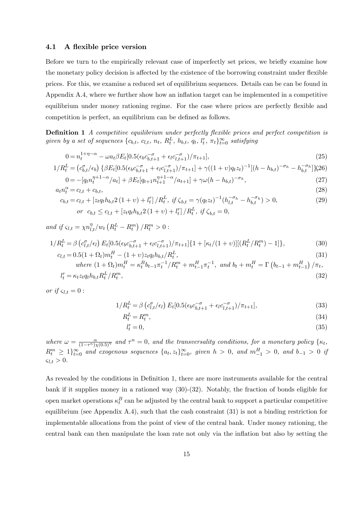### 4.1 A flexible price version

Before we turn to the empirically relevant case of imperfectly set prices, we briefly examine how the monetary policy decision is affected by the existence of the borrowing constraint under flexible prices. For this, we examine a reduced set of equilibrium sequences. Details can be can be found in Appendix A.4, where we further show how an inflation target can be implemented in a competitive equilibrium under money rationing regime. For the case where prices are perfectly flexible and competition is perfect, an equilibrium can be defined as follows.

**Definition 1** A competitive equilibrium under perfectly flexible prices and perfect competition is given by a set of sequences  $\{c_{b,t}, c_{l,t}, n_t, R_t^L, h_{b,t}, q_t, l_t^r, \pi_t\}_{t=0}^{\infty}$  satisfying

$$
0 = n_t^{1+\eta-\alpha} - \omega a_t \beta E_t [0.5(\epsilon_b c_{b,t+1}^{-\sigma} + \epsilon_l c_{l,t+1}^{-\sigma})/\pi_{t+1}], \tag{25}
$$

$$
1/R_t^L = (c_{b,t}^{\sigma}/\epsilon_b) \left\{ \beta E_t [0.5(\epsilon_b c_{b,t+1}^{-\sigma} + \epsilon_l c_{l,t+1}^{-\sigma})/\pi_{t+1}] + \gamma ((1+v)q_t z_t)^{-1} [(h-h_{b,t})^{-\sigma_h} - h_{b,t}^{-\sigma_h}] \right\} (26)
$$
  

$$
0 = -[a_t n_t^{\eta+1-\alpha}/a_t] + \beta E_t [a_{t+1} n_t^{\eta+1-\alpha}/a_{t+1}] + \gamma \omega (h-h_{b,t})^{-\sigma_h}.
$$
 (27)

$$
0 = -[q_t n_t^{\eta+1-\alpha}/a_t] + \beta E_t[q_{t+1} n_{t+1}^{\eta+1-\alpha}/a_{t+1}] + \gamma \omega (h - h_{b,t})^{-\sigma_h},
$$
\n(27)

$$
a_t n_t^{\alpha} = c_{l,t} + c_{b,t},
$$
  
\n
$$
c_{b,t} = c_{l,t} + \left[ z_t q_t h_{b,t} 2 \left( 1 + v \right) + l_t^r \right] / R_t^L, \text{ if } \zeta_{b,t} = \gamma (q_t z_t)^{-1} (h_{l,t}^{-\sigma_h} - h_{b,t}^{-\sigma_h}) > 0,
$$
\n(28)

$$
or \ c_{b,t} \leq c_{l,t} + \left[z_t q_t h_{b,t} 2\left(1+\nu\right) + l_t^r\right]/R_t^L, \ if \ \zeta_{b,t} = 0,
$$

and if  $\varsigma_{l,t} = \chi n_{l,t}^{\eta}/w_t \left( R_t^L - R_t^m \right) / R_t^m > 0$ :

$$
1/R_t^L = \beta \left( c_{l,t}^{\sigma}/\epsilon_l \right) E_t [0.5(\epsilon_b c_{b,t+1}^{-\sigma} + \epsilon_l c_{l,t+1}^{-\sigma})/\pi_{t+1}] \{ 1 + [\kappa_t/(1+v)][(R_t^L/R_t^m) - 1] \},
$$
\n(30)

$$
c_{l,t} = 0.5(1 + \Omega_t)m_t^H - (1 + v)z_tq_th_{b,t}/R_t^L,
$$
\n
$$
where \ (1 + \Omega_t)m_t^H = \kappa_t^Bb_{t-1}\pi_t^{-1}/R_t^m + m_{t-1}^H\pi_t^{-1}, \ and \ b_t + m_t^H = \Gamma(b_{t-1} + m_{t-1}^H)/\pi_t,
$$
\n(31)

$$
l_t^r = \kappa_t z_t q_t h_{b,t} R_t^L / R_t^m,\tag{32}
$$

or if  $\varsigma_{l,t} = 0$  :

$$
1/R_t^L = \beta \left( c_{l,t}^{\sigma}/\epsilon_l \right) E_t [0.5(\epsilon_b c_{b,t+1}^{-\sigma} + \epsilon_l c_{l,t+1}^{-\sigma})/\pi_{t+1}], \tag{33}
$$

$$
R_t^L = R_t^m,\tag{34}
$$

$$
l_t^r = 0,\t\t(35)
$$

where  $\omega = \frac{\alpha}{(1-\tau^n)\chi(0.5)^{\eta}}$  and  $\tau^n = 0$ , and the transversality conditions, for a monetary policy  $\{\kappa_t, \tau_t\}$  $R_t^m \geq 1\}_{t=0}^{\infty}$  and exogenous sequences  $\{a_t, z_t\}_{t=0}^{\infty}$ , given  $h > 0$ , and  $m_{-1}^H > 0$ , and  $b_{-1} > 0$  if  $\zeta_{l,t} > 0.$ 

As revealed by the conditions in Definition 1, there are more instruments available for the central bank if it supplies money in a rationed way (30)-(32). Notably, the fraction of bonds eligible for open market operations  $\kappa_t^B$  can be adjusted by the central bank to support a particular competitive equilibrium (see Appendix A.4), such that the cash constraint  $(31)$  is not a binding restriction for implementable allocations from the point of view of the central bank. Under money rationing, the central bank can then manipulate the loan rate not only via the inflation but also by setting the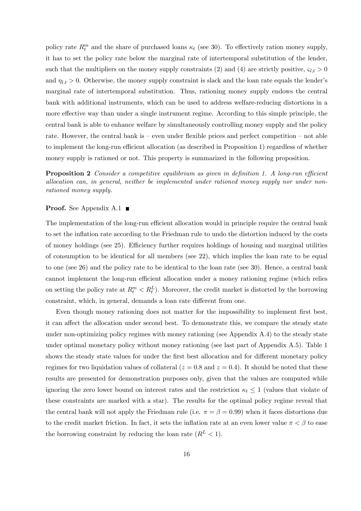policy rate  $R_t^m$  and the share of purchased loans  $\kappa_t$  (see 30). To effectively ration money supply, it has to set the policy rate below the marginal rate of intertemporal substitution of the lender, such that the multipliers on the money supply constraints (2) and (4) are strictly positive,  $\varsigma_{l,t} > 0$ and  $\eta_{l,t} > 0$ . Otherwise, the money supply constraint is slack and the loan rate equals the lender's marginal rate of intertemporal substitution. Thus, rationing money supply endows the central bank with additional instruments, which can be used to address welfare-reducing distortions in a more effective way than under a single instrument regime. According to this simple principle, the central bank is able to enhance welfare by simultaneously controlling money supply and the policy rate. However, the central bank is  $-$  even under flexible prices and perfect competition  $-$  not able to implement the long-run efficient allocation (as described in Proposition 1) regardless of whether money supply is rationed or not. This property is summarized in the following proposition.

**Proposition 2** Consider a competitive equilibrium as given in definition 1. A long-run efficient allocation can, in general, neither be implemented under rationed money supply nor under nonrationed money supply.

### **Proof.** See Appendix A.1 ■

The implementation of the long-run efficient allocation would in principle require the central bank to set the inflation rate according to the Friedman rule to undo the distortion induced by the costs of money holdings (see 25). Efficiency further requires holdings of housing and marginal utilities of consumption to be identical for all members (see 22), which implies the loan rate to be equal to one (see 26) and the policy rate to be identical to the loan rate (see 30). Hence, a central bank cannot implement the long-run efficient allocation under a money rationing regime (which relies on setting the policy rate at  $R_t^m < R_t^L$ ). Moreover, the credit market is distorted by the borrowing constraint, which, in general, demands a loan rate different from one.

Even though money rationing does not matter for the impossibility to implement first best, it can affect the allocation under second best. To demonstrate this, we compare the steady state under non-optimizing policy regimes with money rationing (see Appendix A.4) to the steady state under optimal monetary policy without money rationing (see last part of Appendix A.5). Table 1 shows the steady state values for under the first best allocation and for different monetary policy regimes for two liquidation values of collateral ( $z = 0.8$  and  $z = 0.4$ ). It should be noted that these results are presented for demonstration purposes only, given that the values are computed while ignoring the zero lower bound on interest rates and the restriction  $\kappa_t \leq 1$  (values that violate of these constraints are marked with a star). The results for the optimal policy regime reveal that the central bank will not apply the Friedman rule (i.e.  $\pi = \beta = 0.99$ ) when it faces distortions due to the credit market friction. In fact, it sets the inflation rate at an even lower value  $\pi < \beta$  to ease the borrowing constraint by reducing the loan rate  $(R^L < 1)$ .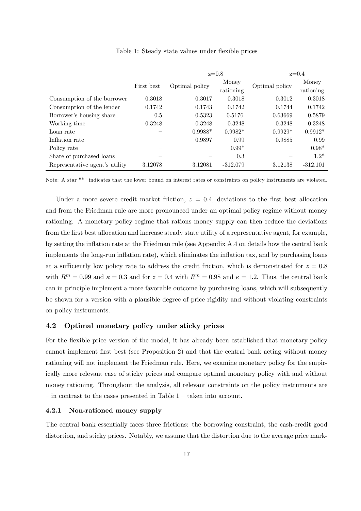|                                |            | $z=0.8$        |            | $z=0.4$        |            |
|--------------------------------|------------|----------------|------------|----------------|------------|
|                                | First best |                | Money      | Optimal policy | Money      |
|                                |            | Optimal policy | rationing  |                | rationing  |
| Consumption of the borrower    | 0.3018     | 0.3017         | 0.3018     | 0.3012         | 0.3018     |
| Consumption of the lender      | 0.1742     | 0.1743         | 0.1742     | 0.1744         | 0.1742     |
| Borrower's housing share       | 0.5        | 0.5323         | 0.5176     | 0.63669        | 0.5879     |
| Working time                   | 0.3248     | 0.3248         | 0.3248     | 0.3248         | 0.3248     |
| Loan rate                      |            | $0.9988*$      | $0.9982*$  | $0.9929*$      | $0.9912*$  |
| Inflation rate                 |            | 0.9897         | 0.99       | 0.9885         | 0.99       |
| Policy rate                    |            |                | $0.99*$    |                | $0.98*$    |
| Share of purchased loans       |            |                | 0.3        |                | $1.2*$     |
| Representative agent's utility | $-3.12078$ | $-3.12081$     | $-312.079$ | $-3.12138$     | $-312.101$ |

Table 1: Steady state values under flexible prices

Note: A star "\*" indicates that the lower bound on interest rates or constraints on policy instruments are violated.

Under a more severe credit market friction,  $z = 0.4$ , deviations to the first best allocation and from the Friedman rule are more pronounced under an optimal policy regime without money rationing. A monetary policy regime that rations money supply can then reduce the deviations from the first best allocation and increase steady state utility of a representative agent, for example, by setting the ináation rate at the Friedman rule (see Appendix A.4 on details how the central bank implements the long-run ináation rate), which eliminates the ináation tax, and by purchasing loans at a sufficiently low policy rate to address the credit friction, which is demonstrated for  $z = 0.8$ with  $R^m = 0.99$  and  $\kappa = 0.3$  and for  $z = 0.4$  with  $R^m = 0.98$  and  $\kappa = 1.2$ . Thus, the central bank can in principle implement a more favorable outcome by purchasing loans, which will subsequently be shown for a version with a plausible degree of price rigidity and without violating constraints on policy instruments.

### 4.2 Optimal monetary policy under sticky prices

For the flexible price version of the model, it has already been established that monetary policy cannot implement first best (see Proposition 2) and that the central bank acting without money rationing will not implement the Friedman rule. Here, we examine monetary policy for the empirically more relevant case of sticky prices and compare optimal monetary policy with and without money rationing. Throughout the analysis, all relevant constraints on the policy instruments are  $\overline{\phantom{a}}$  in contrast to the cases presented in Table 1  $\overline{\phantom{a}}$  taken into account.

### 4.2.1 Non-rationed money supply

The central bank essentially faces three frictions: the borrowing constraint, the cash-credit good distortion, and sticky prices. Notably, we assume that the distortion due to the average price mark-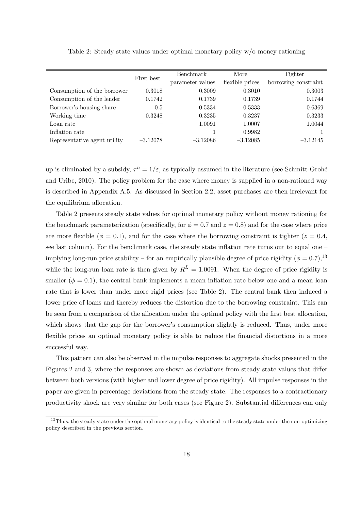|                              | First best | Benchmark        | More            | Tighter              |  |
|------------------------------|------------|------------------|-----------------|----------------------|--|
|                              |            | parameter values | flexible prices | borrowing constraint |  |
| Consumption of the borrower  | 0.3018     | 0.3009           | 0.3010          | 0.3003               |  |
| Consumption of the lender    | 0.1742     | 0.1739           | 0.1739          | 0.1744               |  |
| Borrower's housing share     | 0.5        | 0.5334           | 0.5333          | 0.6369               |  |
| Working time                 | 0.3248     | 0.3235           | 0.3237          | 0.3233               |  |
| Loan rate                    |            | 1.0091           | 1.0007          | 1.0044               |  |
| Inflation rate               |            |                  | 0.9982          |                      |  |
| Representative agent utility | $-3.12078$ | $-3.12086$       | $-3.12085$      | $-3.12145$           |  |

Table 2: Steady state values under optimal monetary policy w/o money rationing

up is eliminated by a subsidy,  $\tau^n = 1/\varepsilon$ , as typically assumed in the literature (see Schmitt-Grohé and Uribe, 2010). The policy problem for the case where money is supplied in a non-rationed way is described in Appendix A.5. As discussed in Section 2.2, asset purchases are then irrelevant for the equilibrium allocation.

Table 2 presents steady state values for optimal monetary policy without money rationing for the benchmark parameterization (specifically, for  $\phi = 0.7$  and  $z = 0.8$ ) and for the case where price are more flexible ( $\phi = 0.1$ ), and for the case where the borrowing constraint is tighter ( $z = 0.4$ , see last column). For the benchmark case, the steady state inflation rate turns out to equal one  $\overline{\phantom{a}}$ implying long-run price stability – for an empirically plausible degree of price rigidity ( $\phi = 0.7$ ), <sup>13</sup> while the long-run loan rate is then given by  $R<sup>L</sup> = 1.0091$ . When the degree of price rigidity is smaller ( $\phi = 0.1$ ), the central bank implements a mean inflation rate below one and a mean loan rate that is lower than under more rigid prices (see Table 2). The central bank then induced a lower price of loans and thereby reduces the distortion due to the borrowing constraint. This can be seen from a comparison of the allocation under the optimal policy with the first best allocation, which shows that the gap for the borrower's consumption slightly is reduced. Thus, under more flexible prices an optimal monetary policy is able to reduce the financial distortions in a more successful way.

This pattern can also be observed in the impulse responses to aggregate shocks presented in the Figures 2 and 3, where the responses are shown as deviations from steady state values that differ between both versions (with higher and lower degree of price rigidity). All impulse responses in the paper are given in percentage deviations from the steady state. The responses to a contractionary productivity shock are very similar for both cases (see Figure 2). Substantial differences can only

 $13$ Thus, the steady state under the optimal monetary policy is identical to the steady state under the non-optimizing policy described in the previous section.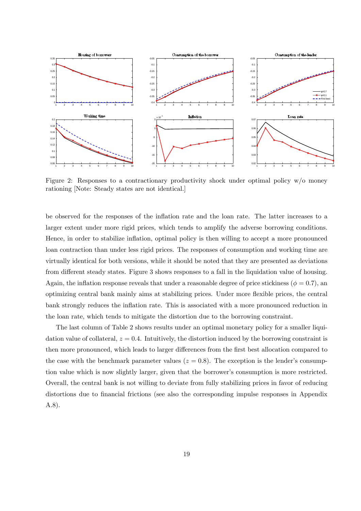

rationing [Note: Steady states are not identical.] Figure 2: Responses to a contractionary productivity shock under optimal policy  $w/o$  money

larger extent under more rigid prices, which tends to amplify the adverse borrowing conditions.  $\sim$ be observed for the responses of the inflation rate and the loan rate. The latter increases to a Hence, in order to stabilize inflation, optimal policy is then willing to accept a more pronounced loan contraction than under less rigid prices. The responses of consumption and working time are virtually identical for both versions, while it should be noted that they are presented as deviations from different steady states. Figure 3 shows responses to a fall in the liquidation value of housing. Again, the inflation response reveals that under a reasonable degree of price stickiness ( $\phi = 0.7$ ), an optimizing central bank mainly aims at stabilizing prices. Under more áexible prices, the central bank strongly reduces the inflation rate. This is associated with a more pronounced reduction in the loan rate, which tends to mitigate the distortion due to the borrowing constraint.

The last column of Table 2 shows results under an optimal monetary policy for a smaller liquidation value of collateral,  $z = 0.4$ . Intuitively, the distortion induced by the borrowing constraint is then more pronounced, which leads to larger differences from the first best allocation compared to the case with the benchmark parameter values ( $z = 0.8$ ). The exception is the lender's consumption value which is now slightly larger, given that the borrower's consumption is more restricted. Overall, the central bank is not willing to deviate from fully stabilizing prices in favor of reducing distortions due to financial frictions (see also the corresponding impulse responses in Appendix A.8).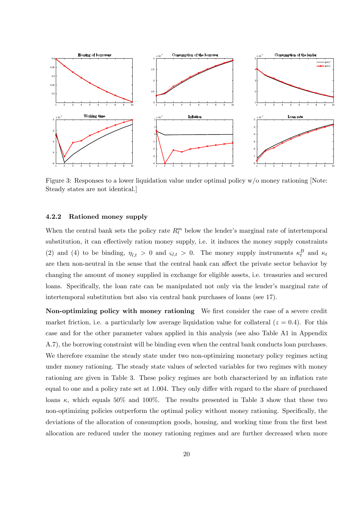

Steady states are not identical.] Figure 3: Responses to a lower liquidation value under optimal policy w/o money rationing [Note:

#### 4.2.2 Rationed money supply

When the central bank sets the policy rate  $R_t^m$  below the lender's marginal rate of intertemporal substitution, it can effectively ration money supply, i.e. it induces the money supply constraints (2) and (4) to be binding,  $\eta_{l,t} > 0$  and  $\varsigma_{l,t} > 0$ . The money supply instruments  $\kappa_t^B$  and  $\kappa_t$ are then non-neutral in the sense that the central bank can affect the private sector behavior by changing the amount of money supplied in exchange for eligible assets, i.e. treasuries and secured loans. Specifically, the loan rate can be manipulated not only via the lender's marginal rate of intertemporal substitution but also via central bank purchases of loans (see 17).

Non-optimizing policy with money rationing We first consider the case of a severe credit market friction, i.e. a particularly low average liquidation value for collateral  $(z = 0.4)$ . For this case and for the other parameter values applied in this analysis (see also Table A1 in Appendix A.7), the borrowing constraint will be binding even when the central bank conducts loan purchases. We therefore examine the steady state under two non-optimizing monetary policy regimes acting under money rationing. The steady state values of selected variables for two regimes with money rationing are given in Table 3. These policy regimes are both characterized by an inflation rate equal to one and a policy rate set at 1.004. They only differ with regard to the share of purchased loans  $\kappa$ , which equals 50% and 100%. The results presented in Table 3 show that these two non-optimizing policies outperform the optimal policy without money rationing. Specifically, the deviations of the allocation of consumption goods, housing, and working time from the first best allocation are reduced under the money rationing regimes and are further decreased when more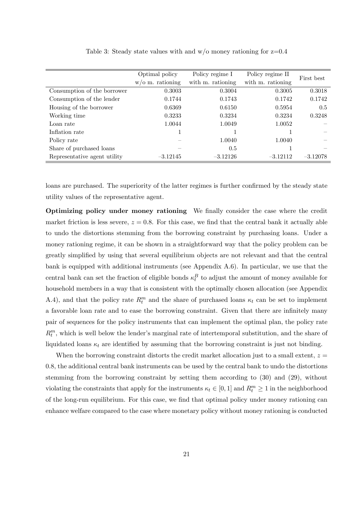|                              | Optimal policy      | Policy regime I   | Policy regime II  | First best |
|------------------------------|---------------------|-------------------|-------------------|------------|
|                              | $w$ /0 m. rationing | with m. rationing | with m. rationing |            |
| Consumption of the borrower  | 0.3003              | 0.3004            | 0.3005            | 0.3018     |
| Consumption of the lender    | 0.1744              | 0.1743            | 0.1742            | 0.1742     |
| Housing of the borrower      | 0.6369              | 0.6150            | 0.5954            | 0.5        |
| Working time                 | 0.3233              | 0.3234            | 0.3234            | 0.3248     |
| Loan rate                    | 1.0044              | 1.0049            | 1.0052            |            |
| Inflation rate               |                     |                   |                   |            |
| Policy rate                  |                     | 1.0040            | 1.0040            |            |
| Share of purchased loans     |                     | 0.5               |                   |            |
| Representative agent utility | $-3.12145$          | $-3.12126$        | $-3.12112$        | $-3.12078$ |

Table 3: Steady state values with and  $w/o$  money rationing for  $z=0.4$ 

loans are purchased. The superiority of the latter regimes is further confirmed by the steady state utility values of the representative agent.

Optimizing policy under money rationing We Önally consider the case where the credit market friction is less severe,  $z = 0.8$ . For this case, we find that the central bank it actually able to undo the distortions stemming from the borrowing constraint by purchasing loans. Under a money rationing regime, it can be shown in a straightforward way that the policy problem can be greatly simplified by using that several equilibrium objects are not relevant and that the central bank is equipped with additional instruments (see Appendix A.6). In particular, we use that the central bank can set the fraction of eligible bonds  $\kappa_t^B$  to adjust the amount of money available for household members in a way that is consistent with the optimally chosen allocation (see Appendix A.4), and that the policy rate  $R_t^m$  and the share of purchased loans  $\kappa_t$  can be set to implement a favorable loan rate and to ease the borrowing constraint. Given that there are infinitely many pair of sequences for the policy instruments that can implement the optimal plan, the policy rate  $R_t^m$ , which is well below the lender's marginal rate of intertemporal substitution, and the share of liquidated loans  $\kappa_t$  are identified by assuming that the borrowing constraint is just not binding.

When the borrowing constraint distorts the credit market allocation just to a small extent,  $z =$ 0:8, the additional central bank instruments can be used by the central bank to undo the distortions stemming from the borrowing constraint by setting them according to (30) and (29), without violating the constraints that apply for the instruments  $\kappa_t \in [0, 1]$  and  $R_t^m \ge 1$  in the neighborhood of the long-run equilibrium. For this case, we find that optimal policy under money rationing can enhance welfare compared to the case where monetary policy without money rationing is conducted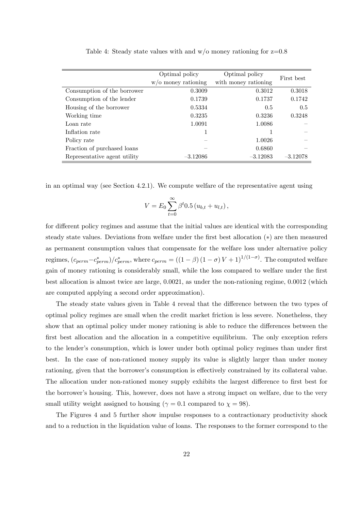|                              | Optimal policy         | Optimal policy       |            |  |
|------------------------------|------------------------|----------------------|------------|--|
|                              | $w$ /o money rationing | with money rationing | First best |  |
| Consumption of the borrower  | 0.3009                 | 0.3012               | 0.3018     |  |
| Consumption of the lender    | 0.1739                 | 0.1737               | 0.1742     |  |
| Housing of the borrower      | 0.5334                 | 0.5                  | 0.5        |  |
| Working time                 | 0.3235                 | 0.3236               | 0.3248     |  |
| Loan rate                    | 1.0091                 | 1.0086               |            |  |
| Inflation rate               |                        |                      |            |  |
| Policy rate                  |                        | 1.0026               |            |  |
| Fraction of purchased loans  |                        | 0.6860               |            |  |
| Representative agent utility | $-3.12086$             | $-3.12083$           | $-3.12078$ |  |

Table 4: Steady state values with and  $w/o$  money rationing for  $z=0.8$ 

in an optimal way (see Section 4.2.1). We compute welfare of the representative agent using

$$
V = E_0 \sum_{t=0}^{\infty} \beta^t 0.5 (u_{b,t} + u_{l,t}),
$$

for different policy regimes and assume that the initial values are identical with the corresponding steady state values. Deviations from welfare under the first best allocation  $(*)$  are then measured as permanent consumption values that compensate for the welfare loss under alternative policy regimes,  $(c_{perm}-c_{perm}^*)/c_{perm}^*$ , where  $c_{perm} = ((1-\beta)(1-\sigma)V+1)^{1/(1-\sigma)}$ . The computed welfare gain of money rationing is considerably small, while the loss compared to welfare under the first best allocation is almost twice are large, 0.0021, as under the non-rationing regime, 0.0012 (which are computed applying a second order approximation).

The steady state values given in Table 4 reveal that the difference between the two types of optimal policy regimes are small when the credit market friction is less severe. Nonetheless, they show that an optimal policy under money rationing is able to reduce the differences between the first best allocation and the allocation in a competitive equilibrium. The only exception refers to the lender's consumption, which is lower under both optimal policy regimes than under first best. In the case of non-rationed money supply its value is slightly larger than under money rationing, given that the borrower's consumption is effectively constrained by its collateral value. The allocation under non-rationed money supply exhibits the largest difference to first best for the borrower's housing. This, however, does not have a strong impact on welfare, due to the very small utility weight assigned to housing ( $\gamma = 0.1$  compared to  $\chi = 98$ ).

The Figures 4 and 5 further show impulse responses to a contractionary productivity shock and to a reduction in the liquidation value of loans. The responses to the former correspond to the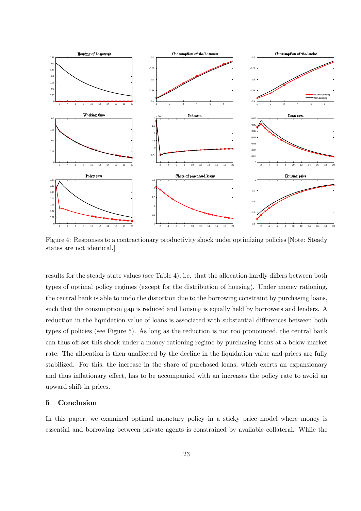

Figure 4: Responses to a contractionary productivity shock under optimizing policies [Note: Steady states are not identical.]

results for the steady state values (see Table 4), i.e. that the allocation hardly differs between both types of optimal policy regimes (except for the distribution of housing). Under money rationing, the central bank is able to undo the distortion due to the borrowing constraint by purchasing loans, such that the consumption gap is reduced and housing is equally held by borrowers and lenders. A reduction in the liquidation value of loans is associated with substantial differences between both types of policies (see Figure 5). As long as the reduction is not too pronounced, the central bank can thus off-set this shock under a money rationing regime by purchasing loans at a below-market rate. The allocation is then unaffected by the decline in the liquidation value and prices are fully stabilized. For this, the increase in the share of purchased loans, which exerts an expansionary and thus inflationary effect, has to be accompanied with an increases the policy rate to avoid an upward shift in prices.

### 5 Conclusion

In this paper, we examined optimal monetary policy in a sticky price model where money is essential and borrowing between private agents is constrained by available collateral. While the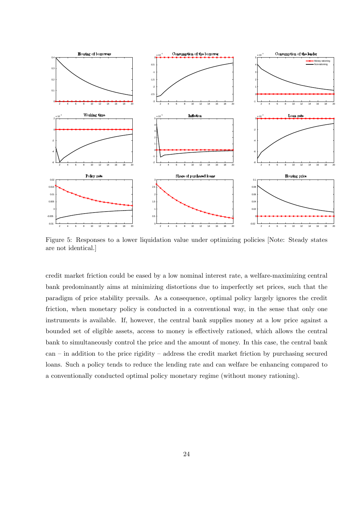

Figure 5: Responses to a lower liquidation value under optimizing policies [Note: Steady states are not identical.]

credit market friction could be eased by a low nominal interest rate, a welfare-maximizing central bank predominantly aims at minimizing distortions due to imperfectly set prices, such that the paradigm of price stability prevails. As a consequence, optimal policy largely ignores the credit friction, when monetary policy is conducted in a conventional way, in the sense that only one instruments is available. If, however, the central bank supplies money at a low price against a bounded set of eligible assets, access to money is effectively rationed, which allows the central bank to simultaneously control the price and the amount of money. In this case, the central bank  $can$  – in addition to the price rigidity – address the credit market friction by purchasing secured loans. Such a policy tends to reduce the lending rate and can welfare be enhancing compared to a conventionally conducted optimal policy monetary regime (without money rationing).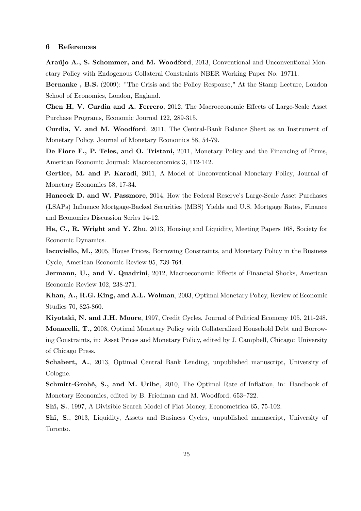### 6 References

Araújo A., S. Schommer, and M. Woodford, 2013, Conventional and Unconventional Monetary Policy with Endogenous Collateral Constraints NBER Working Paper No. 19711.

Bernanke , B.S. (2009): "The Crisis and the Policy Response," At the Stamp Lecture, London School of Economics, London, England.

Chen H, V. Curdia and A. Ferrero, 2012, The Macroeconomic Effects of Large-Scale Asset Purchase Programs, Economic Journal 122, 289-315.

Curdia, V. and M. Woodford, 2011, The Central-Bank Balance Sheet as an Instrument of Monetary Policy, Journal of Monetary Economics 58, 54-79.

De Fiore F., P. Teles, and O. Tristani, 2011, Monetary Policy and the Financing of Firms, American Economic Journal: Macroeconomics 3, 112-142.

Gertler, M. and P. Karadi, 2011, A Model of Unconventional Monetary Policy, Journal of Monetary Economics 58, 17-34.

Hancock D. and W. Passmore, 2014, How the Federal Reserve's Large-Scale Asset Purchases (LSAPs) Ináuence Mortgage-Backed Securities (MBS) Yields and U.S. Mortgage Rates, Finance and Economics Discussion Series 14-12.

He, C., R. Wright and Y. Zhu, 2013, Housing and Liquidity, Meeting Papers 168, Society for Economic Dynamics.

Iacoviello, M., 2005, House Prices, Borrowing Constraints, and Monetary Policy in the Business Cycle, American Economic Review 95, 739-764.

**Jermann, U., and V. Quadrini**, 2012, Macroeconomic Effects of Financial Shocks, American Economic Review 102, 238-271.

Khan, A., R.G. King, and A.L. Wolman, 2003, Optimal Monetary Policy, Review of Economic Studies 70, 825-860.

Kiyotaki, N. and J.H. Moore, 1997, Credit Cycles, Journal of Political Economy 105, 211-248. Monacelli, T., 2008, Optimal Monetary Policy with Collateralized Household Debt and Borrowing Constraints, in: Asset Prices and Monetary Policy, edited by J. Campbell, Chicago: University of Chicago Press.

Schabert, A., 2013, Optimal Central Bank Lending, unpublished manuscript, University of Cologne.

Schmitt-Grohé, S., and M. Uribe, 2010, The Optimal Rate of Inflation, in: Handbook of Monetary Economics, edited by B. Friedman and M. Woodford, 653–722.

Shi, S., 1997, A Divisible Search Model of Fiat Money, Econometrica 65, 75-102.

Shi, S., 2013, Liquidity, Assets and Business Cycles, unpublished manuscript, University of Toronto.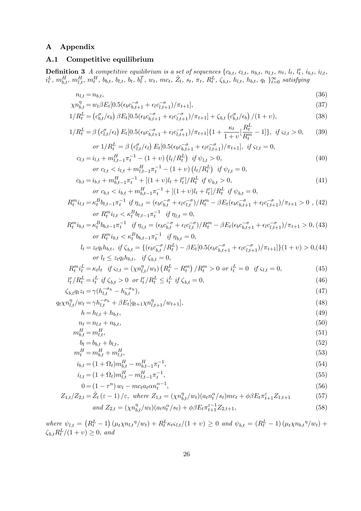### A Appendix

### A.1 Competitive equilibrium

**Definition 3** A competitive equilibrium is a set of sequences  $\{c_{b,t}, c_{l,t}, n_{b,t}, n_{l,t}, n_t, l_t, l_t^r, i_{b,t}, i_{l,t}, l_t^r, i_{b,t}, i_{b,t}, i_{b,t}\}$  $i_t^L$ ,  $m_{b,t}^H$ ,  $m_{l,t}^H$ ,  $m_t^H$ ,  $b_{b,t}$ ,  $b_{l,t}$ ,  $b_t$ ,  $b_t^T$ ,  $w_t$ ,  $mc_t$ ,  $\tilde{Z}_t$ ,  $s_t$ ,  $\pi_t$ ,  $R_t^L$ ,  $\zeta_{b,t}$ ,  $h_{l,t}$ ,  $h_{b,t}$ ,  $q_t$   $\}^{\infty}_{t=0}$  satisfying

$$
n_{l,t} = n_{b,t},
$$
  
\n
$$
\chi n_{l,t}^{\eta} = w_{t} \beta E_{t} [0.5(\epsilon_{b} C_{t,t+1}^{-\sigma} + \epsilon_{b} C_{t,t+1}^{-\sigma}) / \pi_{t+1}].
$$
\n(36)

$$
\chi n_{b,t}^{\eta} = w_t \beta E_t [0.5(\epsilon_b c_{b,t+1}^{-\sigma} + \epsilon_l c_{l,t+1}^{-\sigma})/\pi_{t+1}], \tag{37}
$$

$$
1/R_t^L = \left(c_{b,t}^{\sigma}/\epsilon_b\right) \beta E_t[0.5(\epsilon_b c_{b,t+1}^{-\sigma} + \epsilon_l c_{l,t+1}^{-\sigma})/\pi_{t+1}] + \zeta_{b,t} \left(c_{b,t}^{\sigma}/\epsilon_b\right)/(1+\upsilon),\tag{38}
$$

$$
1/R_t^L = \beta \left( c_{l,t}^{\sigma}/\epsilon_l \right) E_t [0.5(\epsilon_b c_{b,t+1}^{-\sigma} + \epsilon_l c_{l,t+1}^{-\sigma})/\pi_{t+1}] \{ 1 + \frac{\kappa_t}{1+v} [\frac{R_t^L}{R_t^m} - 1] \}, \text{ if } \varsigma_{l,t} > 0,
$$
 (39)

$$
or 1/R_t^L = \beta \left( c_{l,t}^{\sigma}/\epsilon_l \right) E_t [0.5(\epsilon_b c_{b,t+1}^{-\sigma} + \epsilon_l c_{l,t+1}^{-\sigma})/\pi_{t+1}], \text{ if } \varsigma_{l,t} = 0,
$$
  

$$
c_{l,t} = i_{l,t} + m_{l,t-1}^H \pi_t^{-1} - (1+v) \left( l_t / R_t^L \right) \text{ if } \psi_{l,t} > 0,
$$
 (40)

$$
or c_{l,t} < i_{l,t} + m_{l,t-1}^H \pi_t^{-1} - (1+v) \left( l_t / R_t^L \right) \text{ if } \psi_{l,t} = 0,
$$
  
\n
$$
c_{b,t} = i_{b,t} + m_{b,t-1}^H \pi_t^{-1} + \left[ (1+v)l_t + l_t^r \right] / R_t^L \text{ if } \psi_{b,t} > 0,
$$
\n(41)

$$
u_t = u_{b,t} + m_{b,t-1}u_t + (1 + v)u_t + u_t / h_t \quad \text{if } \psi_{b,t} > 0,
$$
  
or  $c_{b,t} < i_{b,t} + m_{b,t-1}^H \pi_t^{-1} + [(1 + v)l_t + l_t^r] / R_t^L \quad \text{if } \psi_{b,t} = 0,$  (41)

$$
R_t^m i_{l,t} = \kappa_t^B b_{l,t-1} \pi_t^{-1} \text{ if } \eta_{i,t} = (\epsilon_b c_{b,t}^{-\sigma} + \epsilon_l c_{l,t}^{-\sigma}) / R_t^m - \beta E_t (\epsilon_b c_{b,t+1}^{-\sigma} + \epsilon_l c_{l,t+1}^{-\sigma}) / \pi_{t+1} > 0 , (42)
$$
  
or  $R_t^m i_{l,t} < \kappa_t^B b_{l,t-1} \pi_t^{-1} \text{ if } \eta_{l,t} = 0,$ 

$$
R_t^m i_{b,t} = \kappa_t^B b_{b,t-1} \pi_t^{-1} \quad \text{if } \eta_{i,t} = (\epsilon_b c_{b,t}^{-\sigma} + \epsilon_l c_{l,t}^{-\sigma}) / R_t^m - \beta E_t (\epsilon_b c_{b,t+1}^{-\sigma} + \epsilon_l c_{l,t+1}^{-\sigma}) / \pi_{t+1} > 0, \text{ (43)}
$$
\n
$$
\text{or } R_t^m i_{b,t} < \kappa_t^B b_{b,t-1} \pi_t^{-1} \quad \text{if } \eta_{b,t} = 0,
$$

$$
l_t = z_t q_t h_{b,t}, \text{ if } \zeta_{b,t} = \{ (\epsilon_b c_{b,t}^{-\sigma} / R_t^L) - \beta E_t [0.5(\epsilon_b c_{b,t+1}^{-\sigma} + \epsilon_l c_{l,t+1}^{-\sigma}) / \pi_{t+1}] \} (1 + v) > 0, (44)
$$
  
or  $l_t \le z_t q_t h_{b,t}, \text{ if } \zeta_{b,t} = 0,$ 

$$
R_t^m i_t^L = \kappa_t l_t \quad \text{if } \varsigma_{l,t} = (\chi n_{l,t}^{\eta}/w_t) \left( R_t^L - R_t^m \right) / R_t^m > 0 \quad \text{or } i_t^L = 0 \quad \text{if } \varsigma_{l,t} = 0,\tag{45}
$$

$$
l_t^r / R_t^L = i_t^L \text{ if } \zeta_{b,t} > 0 \text{ or } l_t^r / R_t^L \le i_t^L \text{ if } \zeta_{b,t} = 0,
$$
\n(46)

$$
\zeta_{b,t} q_t z_t = \gamma (h_{l,t}^{-\sigma_h} - h_{b,t}^{-\sigma_h}),\tag{47}
$$

$$
q_t \chi n_{l,t}^{\eta}/w_t = \gamma h_{l,t}^{-\sigma_h} + \beta E_t [q_{t+1} \chi n_{l,t+1}^{\eta}/w_{t+1}],
$$
\n(48)

$$
h = h_{l,t} + h_{b,t},\tag{49}
$$

$$
n_t = n_{l,t} + n_{b,t},\tag{50}
$$

$$
m_{b,t}^H = m_{l,t}^H,\tag{51}
$$

$$
b_t = b_{b,t} + b_{l,t},\tag{52}
$$

$$
m_t^H = m_{b,t}^H + m_{l,t}^H,\tag{53}
$$

$$
i_{b,t} = (1 + \Omega_t) m_{b,t}^H - m_{b,t-1}^H \pi_t^{-1},
$$
\n(54)

$$
i_{l,t} = (1 + \Omega_t) m_{l,t}^H - m_{l,t-1}^H \pi_t^{-1},
$$
\n(55)

$$
0 = (1 - \tau^n) w_t - mc_t a_t \alpha n_t^{\alpha - 1},\tag{56}
$$

$$
Z_{1,t}/Z_{2,t} = \tilde{Z}_t \left(\varepsilon - 1\right) / \varepsilon, \text{ where } Z_{1,t} = (\chi n_{b,t}^{\eta}/w_t)(a_t n_t^{\alpha}/s_t)mc_t + \phi \beta E_t \pi_{t+1}^{\varepsilon} Z_{1,t+1}
$$
 (57)

$$
and Z_{2,t} = (\chi n_{b,t}^{\eta}/w_t)(a_t n_t^{\alpha}/s_t) + \phi \beta E_t \pi_{t+1}^{\varepsilon-1} Z_{2,t+1},
$$
\n(58)

where  $\psi_{l,t} = (R_t^L - 1) (\mu_t \chi n_{l,t}^{\eta}/w_t) + R_t^L \kappa_t \varsigma_{l,t} / (1 + v) \geq 0$  and  $\psi_{b,t} = (R_t^L - 1) (\mu_t \chi n_{b,t}^{\eta}/w_t) +$  $\zeta_{b,t} R_t^L / (1 + v) \ge 0$ , and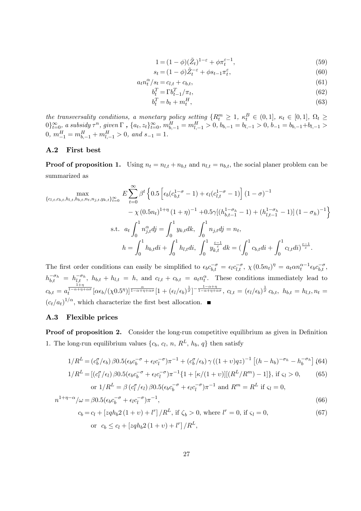$$
1 = (1 - \phi)(\tilde{Z}_t)^{1 - \varepsilon} + \phi \pi_t^{\varepsilon - 1},\tag{59}
$$

$$
s_t = (1 - \phi)\tilde{Z}_t^{-\varepsilon} + \phi s_{t-1} \pi_t^{\varepsilon},\tag{60}
$$

$$
a_t n_t^{\alpha}/s_t = c_{l,t} + c_{b,t},\tag{61}
$$

$$
b_t^T = \Gamma b_{t-1}^T / \pi_t,\tag{62}
$$

$$
b_t^T = b_t + m_t^H,\tag{63}
$$

the transversality conditions, a monetary policy setting  $\{R_t^m \geq 1, \kappa_t^B \in (0,1], \kappa_t \in [0,1], \Omega_t \geq 0\}$  $0\}_{t=0}^{\infty}$ , a subsidy  $\tau^n$ , given  $\Gamma$  ,  $\{a_t, z_t\}_{t=0}^{\infty}$ ,  $m_{b,-1}^H = m_{l,-1}^H > 0$ ,  $b_{b,-1} = b_{l,-1} > 0$ ,  $b_{-1} = b_{b,-1} + b_{l,-1} > 0$  $0, m_{-1}^H = m_{b,-1}^H + m_{l,-1}^H > 0, \text{ and } s_{-1} = 1.$ 

### A.2 First best

**Proof of proposition 1.** Using  $n_t = n_{l,t} + n_{b,t}$  and  $n_{l,t} = n_{b,t}$ , the social planer problem can be summarized as

$$
\begin{split}\n\max_{\{c_{l,t},c_{b,t},h_{l,t},h_{b,t},n_{t},n_{j,t},y_{k,t}\}_{t=0}^{\infty}} E \sum_{t=0}^{\infty} \beta^{t} \left\{ 0.5 \left[ \epsilon_{b}(c_{b,t}^{1-\sigma}-1) + \epsilon_{l}(c_{l,t}^{1-\sigma}-1) \right] (1-\sigma)^{-1} \right. \\
&\left. - \chi(0.5n_{t})^{1+\eta} (1+\eta)^{-1} + 0.5\gamma [(h_{b,t-1}^{1-\sigma_{h}}-1) + (h_{l,t-1}^{1-\sigma_{h}}-1)] (1-\sigma_{h})^{-1} \right\} \\
\text{s.t.} \quad a_{t} \int_{0}^{1} n_{j,t}^{\alpha} dj = \int_{0}^{1} y_{k,t} dk, \quad \int_{0}^{1} n_{j,t} dj = n_{t}, \\
h = \int_{0}^{1} h_{b,t} di + \int_{0}^{1} h_{l,t} di, \quad \int_{0}^{1} y_{k,t}^{\frac{\varepsilon-1}{\varepsilon}} dk = \left( \int_{0}^{1} c_{b,t} di + \int_{0}^{1} c_{l,t} di \right)^{\frac{\varepsilon-1}{\varepsilon}}.\n\end{split}
$$

The first order conditions can easily be simplified to  $\epsilon_b c_{b,t}^{-\sigma} = \epsilon_l c_{l,t}^{-\sigma}$ ,  $\chi(0.5n_t)^{\eta} = a_t \alpha n_t^{\alpha-1} \epsilon_b c_{b,t}^{-\sigma}$ ,  $h_{b,t}^{-\sigma_h} = h_{l,t}^{-\sigma_h}$ ,  $h_{b,t} + h_{l,t} = h$ , and  $c_{l,t} + c_{b,t} = a_t n_t^{\alpha}$ . These conditions immediately lead to  $c_{b,t} = a_t^{\frac{1+\eta}{1-\alpha+\eta+\alpha\sigma}}[\alpha\epsilon_b/(\chi 0.5^\eta)]^{\frac{\alpha}{1-\alpha+\eta+\alpha\sigma}}[1+(\epsilon_l/\epsilon_b)^{\frac{1}{\sigma}}]^{-\frac{1-\alpha+\eta}{1-\alpha+\eta+\alpha\sigma}},\ c_{l,t} = (\epsilon_l/\epsilon_b)^{\frac{1}{\sigma}}c_{b,t},\ h_{b,t} = h_{l,t}, n_t = h_{l,t}$  $(c_t/a_t)^{1/\alpha}$ , which characterize the first best allocation.

### A.3 Flexible prices

**Proof of proposition 2.** Consider the long-run competitive equilibrium as given in Definition 1. The long-run equilibrium values  $\{c_b, c_l, n, R^L, h_b, q\}$  then satisfy

$$
1/R^{L} = (c_{b}^{\sigma}/\epsilon_{b}) \beta 0.5(\epsilon_{b}c_{b}^{-\sigma} + \epsilon_{l}c_{l}^{-\sigma})\pi^{-1} + (c_{b}^{\sigma}/\epsilon_{b}) \gamma ((1+\nu)qz)^{-1} [(h-h_{b})^{-\sigma_{h}} - h_{b}^{-\sigma_{h}}] (64)
$$

$$
1/R^{L} = [(c_{l}^{\sigma}/\epsilon_{l}) \beta 0.5(\epsilon_{b}c_{b}^{-\sigma} + \epsilon_{l}c_{l}^{-\sigma})\pi^{-1}\{1 + [\kappa/(1+v)][(R^{L}/R^{m}) - 1]\}, \text{ if } \varsigma_{l} > 0, \qquad (65)
$$
  
or  $1/R^{L} = \beta (c_{l}^{\sigma}/\epsilon_{l}) \beta 0.5(\epsilon_{b}c_{b}^{-\sigma} + \epsilon_{l}c_{l}^{-\sigma})\pi^{-1} \text{ and } R^{m} = R^{L} \text{ if } \varsigma_{l} = 0,$ 

$$
n^{1+\eta-\alpha}/\omega = \beta 0.5(\epsilon_b c_b^{-\sigma} + \epsilon_l c_l^{-\sigma})\pi^{-1},\tag{66}
$$

$$
c_b = c_l + [zqh_b 2 (1 + v) + l^r] / R^L, \text{ if } \zeta_b > 0, \text{ where } l^r = 0, \text{ if } \zeta_l = 0,
$$
 (67)

or 
$$
c_b \le c_l + [z q h_b 2 (1 + v) + l^r] / R^L
$$
,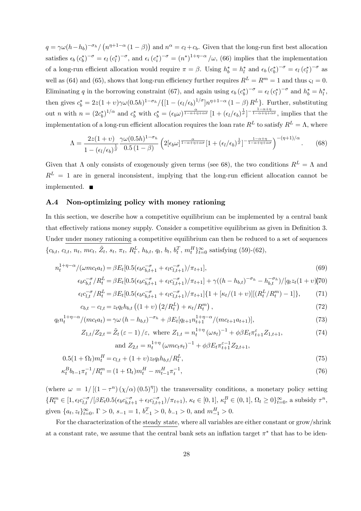$q = \gamma \omega (h - h_b)^{-\sigma_h} / (n^{\eta + 1 - \alpha} (1 - \beta))$  and  $n^{\alpha} = c_l + c_b$ . Given that the long-run first best allocation satisfies  $\epsilon_b (c_b^*)^{-\sigma} = \epsilon_l (c_l^*)^{-\sigma}$ , and  $\epsilon_i (c_i^*)^{-\sigma} = (n^*)^{1+\eta-\alpha}/\omega$ , (66) implies that the implementation of a long-run efficient allocation would require  $\pi = \beta$ . Using  $h_b^* = h_l^*$  and  $\epsilon_b (c_b^*)^{-\sigma} = \epsilon_l (c_l^*)^{-\sigma}$  as well as (64) and (65), shows that long-run efficiency further requires  $R^L = R^m = 1$  and thus  $\zeta_l = 0$ . Eliminating q in the borrowing constraint (67), and again using  $\epsilon_b (c_b^*)^{-\sigma} = \epsilon_l (c_l^*)^{-\sigma}$  and  $h_b^* = h_l^*$ , then gives  $c_b^* = 2z(1+v)\gamma\omega(0.5h)^{1-\sigma_h}/\{[1-(\epsilon_l/\epsilon_b)^{1/\sigma}]n^{\eta+1-\alpha}(1-\beta)R^L\}$ . Further, substituting out *n* with  $n = (2c_b^*)^{1/\alpha}$  and  $c_b^*$  with  $c_b^* = (\epsilon_b \omega)^{\frac{\alpha}{1-\alpha+\eta+\alpha\sigma}} [1 + (\epsilon_l/\epsilon_b)^{\frac{1}{\sigma}}]^{-\frac{1-\alpha+\eta}{1-\alpha+\eta+\alpha\sigma}}$ , implies that the implementation of a long-run efficient allocation requires the loan rate  $R^L$  to satisfy  $R^L = \Lambda$ , where

$$
\Lambda = \frac{2z(1+\nu)}{1 - (\epsilon_l/\epsilon_b)^{\frac{1}{\sigma}}} \frac{\gamma \omega(0.5h)^{1-\sigma_h}}{0.5(1-\beta)} \left(2[\epsilon_b \omega]^{\frac{\alpha}{1-\alpha+\eta+\alpha\sigma}} [1 + (\epsilon_l/\epsilon_b)^{\frac{1}{\sigma}}]^{-\frac{1-\alpha+\eta}{1-\alpha+\eta+\alpha\sigma}}\right)^{-(\eta+1)/\alpha}.
$$
 (68)

Given that  $\Lambda$  only consists of exogenously given terms (see 68), the two conditions  $R^L = \Lambda$  and  $R<sup>L</sup> = 1$  are in general inconsistent, implying that the long-run efficient allocation cannot be implemented.

### A.4 Non-optimizing policy with money rationing

In this section, we describe how a competitive equilibrium can be implemented by a central bank that effectively rations money supply. Consider a competitive equilibrium as given in Definition 3. Under under money rationing a competitive equilibrium can then be reduced to a set of sequences  $\{c_{b,t}, c_{l,t}, n_t, mc_t, \tilde{Z}_t, s_t, \pi_t, R_t^L, h_{b,t}, q_t, b_t, b_t^T, m_t^H\}_{t=0}^{\infty}$  satisfying (59)-(62),

$$
n_t^{1+\eta-\alpha}/(\omega mc_t a_t) = \beta E_t [0.5(\epsilon_b c_{b,t+1}^{-\sigma} + \epsilon_l c_{l,t+1}^{-\sigma})/\pi_{t+1}], \tag{69}
$$

$$
\epsilon_b c_{b,t}^{-\sigma} / R_t^L = \beta E_t [0.5(\epsilon_b c_{b,t+1}^{-\sigma} + \epsilon_l c_{l,t+1}^{-\sigma}) / \pi_{t+1}] + \gamma ((h - h_{b,t})^{-\sigma_h} - h_{b,t}^{-\sigma_h}) / [q_t z_t (1 + v)] \tag{70}
$$
  

$$
\epsilon_l c_{l,t}^{-\sigma} / R_t^L = \beta E_t [0.5(\epsilon_b c_{b,t+1}^{-\sigma} + \epsilon_l c_{l,t+1}^{-\sigma}) / \pi_{t+1}] \{1 + [\kappa_t / (1 + v)][(R_t^L / R_t^m) - 1]\},
$$

$$
c_{b,t} - c_{l,t} = z_t q_t h_{b,t} \left( (1+v) \left( 2/R_t^L \right) + \kappa_t / R_t^m \right), \tag{72}
$$

$$
q_t n_t^{1+\eta-\alpha}/(mc_t a_t) = \gamma \omega (h - h_{b,t})^{-\sigma_h} + \beta E_t [q_{t+1} n_{t+1}^{1+\eta-\alpha}/(mc_{t+1} a_{t+1})],
$$
\n(73)

$$
Z_{1,t}/Z_{2,t} = \tilde{Z}_t \left(\varepsilon - 1\right) / \varepsilon, \text{ where } Z_{1,t} = n_t^{1+\eta} \left(\omega s_t\right)^{-1} + \phi \beta E_t \pi_{t+1}^{\varepsilon} Z_{1,t+1},\tag{74}
$$

and 
$$
Z_{2,t} = n_t^{1+\eta} (\omega m c_t s_t)^{-1} + \phi \beta E_t \pi_{t+1}^{\varepsilon-1} Z_{2,t+1},
$$

$$
0.5(1+\Omega_t)m_t^H = c_{l,t} + (1+v)z_t q_t h_{b,t}/R_t^L,
$$
\n(75)

$$
\kappa_t^B b_{t-1} \pi_t^{-1} / R_t^m = (1 + \Omega_t) m_t^H - m_{t-1}^H \pi_t^{-1},\tag{76}
$$

(where  $\omega = 1/[(1 - \tau^n)(\chi/\alpha)(0.5)^{\eta}]$ ) the transversality conditions, a monetary policy setting  ${R_t^m \in [1, \epsilon_l c_{l,t}^{-\sigma} / [\beta E_t 0.5(\epsilon_b c_{b,t+1}^{-\sigma} + \epsilon_l c_{l,t+1}^{-\sigma}) / \pi_{t+1}), \kappa_t \in [0,1], \kappa_t^B \in (0,1], \Omega_t \ge 0}$ <sub>t=0</sub>, a subsidy  $\tau^n$ , given  $\{a_t, z_t\}_{t=0}^{\infty}$ ,  $\Gamma > 0$ ,  $s_{-1} = 1$ ,  $b_{-1}^T > 0$ ,  $b_{-1} > 0$ , and  $m_{-1}^H > 0$ .

For the characterization of the steady state, where all variables are either constant or grow/shrink at a constant rate, we assume that the central bank sets an inflation target  $\pi^*$  that has to be iden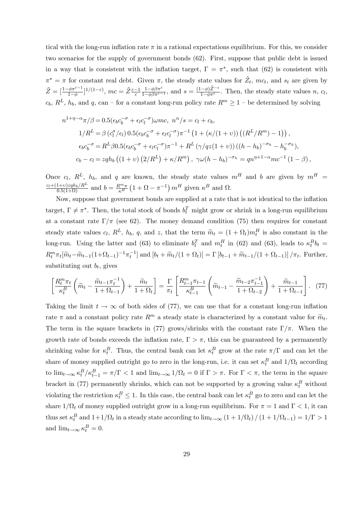tical with the long-run inflation rate  $\pi$  in a rational expectations equilibrium. For this, we consider two scenarios for the supply of government bonds (62). First, suppose that public debt is issued in a way that is consistent with the inflation target,  $\Gamma = \pi^*$ , such that (62) is consistent with  $\pi^* = \pi$  for constant real debt. Given  $\pi$ , the steady state values for  $\tilde{Z}_t$ ,  $mc_t$ , and  $s_t$  are given by  $\tilde{Z} = \left[\frac{1-\phi\pi^{\varepsilon-1}}{1-\phi}\right]^{1/(1-\varepsilon)}, mc = \tilde{Z} \frac{\varepsilon-1}{\varepsilon} \frac{1-\phi\beta\pi^{\varepsilon}}{1-\phi\beta\pi^{\varepsilon-1}}, \text{ and } s = \frac{(1-\phi)\tilde{Z}^{-\varepsilon}}{1-\phi\pi^{\varepsilon}}.$  Then, the steady state values  $n, c_l$ ,  $c_b$ ,  $R^L$ ,  $h_b$ , and q, can – for a constant long-run policy rate  $R^m \ge 1$  – be determined by solving

$$
n^{1+\eta-\alpha}\pi/\beta = 0.5(\epsilon_b c_b^{-\sigma} + \epsilon_l c_l^{-\sigma}) \omega mc, \; n^{\alpha}/s = c_l + c_b,
$$
  
\n
$$
1/R^L = \beta (c_l^{\sigma}/\epsilon_l) 0.5(\epsilon_b c_b^{-\sigma} + \epsilon_l c_l^{-\sigma})\pi^{-1} (1 + (\kappa/(1+\nu))((R^L/R^m) - 1)),
$$
  
\n
$$
\epsilon_b c_b^{-\sigma} = R^L \beta 0.5(\epsilon_b c_b^{-\sigma} + \epsilon_l c_l^{-\sigma})\pi^{-1} + R^L (\gamma/qz(1+\nu))((h-h_b)^{-\sigma_h} - h_b^{-\sigma_h}),
$$
  
\n
$$
c_b - c_l = z q h_b ((1+\nu) (2/R^L) + \kappa/R^m), \; \gamma \omega(h-h_b)^{-\sigma_h} = q n^{\eta+1-\alpha} mc^{-1} (1-\beta),
$$

Once  $c_l$ ,  $R^L$ ,  $h_b$ , and q are known, the steady state values  $m^H$  and b are given by  $m^H$  =  $c_l+(1+v)zqh_b/R^L$  $\frac{1+v)zqh_b/R^L}{0.5(1+\Omega)}$  and  $b = \frac{R^m \pi}{\kappa^B}$  $\frac{\mathcal{R}^m \pi}{\kappa^B} \left(1 + \Omega - \pi^{-1}\right) m^H$  given  $\kappa^B$  and  $\Omega$ .

Now, suppose that government bonds are supplied at a rate that is not identical to the inflation target,  $\Gamma \neq \pi^*$ . Then, the total stock of bonds  $b_t^T$  might grow or shrink in a long-run equilibrium at a constant rate  $\Gamma/\pi$  (see 62). The money demand condition (75) then requires for constant steady state values  $c_l$ ,  $R^L$ ,  $h_b$ , q, and z, that the term  $\widetilde{m}_t = (1 + \Omega_t) m_t^H$  is also constant in the long-run. Using the latter and (63) to eliminate  $b_t^T$  and  $m_t^H$  in (62) and (63), leads to  $\kappa_t^B b_t =$  $R_t^m \pi_t [\widetilde{m}_t - \widetilde{m}_{t-1}(1+\Omega_{t-1})^{-1} \pi_t^{-1}]$  and  $[b_t + \widetilde{m}_t/(1+\Omega_t)] = \Gamma[b_{t-1} + \widetilde{m}_{t-1}/(1+\Omega_{t-1})] / \pi_t$ . Further, substituting out  $b_t$ , gives

$$
\left[\frac{R_t^m \pi_t}{\kappa_t^B} \left(\tilde{m}_t - \frac{\tilde{m}_{t-1} \pi_t^{-1}}{1 + \Omega_{t-1}}\right) + \frac{\tilde{m}_t}{1 + \Omega_t}\right] = \frac{\Gamma}{\pi_t} \left[\frac{R_{t-1}^m \pi_{t-1}}{\kappa_{t-1}^B} \left(\tilde{m}_{t-1} - \frac{\tilde{m}_{t-2} \pi_{t-1}^{-1}}{1 + \Omega_{t-2}}\right) + \frac{\tilde{m}_{t-1}}{1 + \Omega_{t-1}}\right].
$$
 (77)

Taking the limit  $t \to \infty$  of both sides of (77), we can use that for a constant long-run inflation rate  $\pi$  and a constant policy rate  $R^m$  a steady state is characterized by a constant value for  $\widetilde{m}_t$ . The term in the square brackets in (77) grows/shrinks with the constant rate  $\Gamma/\pi$ . When the growth rate of bonds exceeds the inflation rate,  $\Gamma > \pi$ , this can be guaranteed by a permanently shrinking value for  $\kappa_t^B$ . Thus, the central bank can let  $\kappa_t^B$  grow at the rate  $\pi/\Gamma$  and can let the share of money supplied outright go to zero in the long-run, i.e. it can set  $\kappa_t^B$  and  $1/\Omega_t$  according to  $\lim_{t\to\infty} \kappa_t^B / \kappa_{t-1}^B = \pi/\Gamma < 1$  and  $\lim_{t\to\infty} 1/\Omega_t = 0$  if  $\Gamma > \pi$ . For  $\Gamma < \pi$ , the term in the square bracket in (77) permanently shrinks, which can not be supported by a growing value  $\kappa_t^B$  without violating the restriction  $\kappa_t^B \le 1$ . In this case, the central bank can let  $\kappa_t^B$  go to zero and can let the share  $1/\Omega_t$  of money supplied outright grow in a long-run equilibrium. For  $\pi = 1$  and  $\Gamma < 1$ , it can thus set  $\kappa_t^B$  and  $1+1/\Omega_t$  in a steady state according to  $\lim_{t\to\infty} (1+1/\Omega_t) / (1+1/\Omega_{t-1}) = 1/\Gamma > 1$ and  $\lim_{t \to \infty} \kappa_t^B = 0.$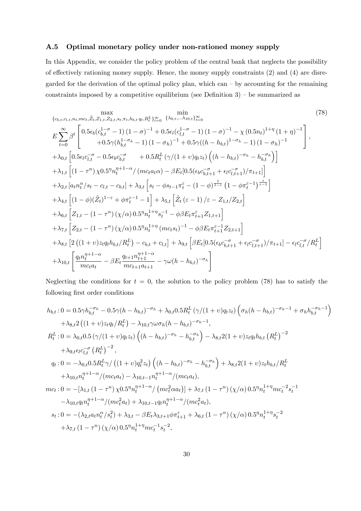### A.5 Optimal monetary policy under non-rationed money supply

In this Appendix, we consider the policy problem of the central bank that neglects the possibility of effectively rationing money supply. Hence, the money supply constraints  $(2)$  and  $(4)$  are disregarded for the derivation of the optimal policy plan, which can  $-$  by accounting for the remaining constraints imposed by a competitive equilibrium (see Definition  $3$ ) – be summarized as

$$
\begin{split}\n&\sum_{\{c_{b,t},c_{l,t},n_{t},m_{c,t},\tilde{Z}_{t},Z_{1,t},Z_{2,t},s_{t},\pi_{t},h_{b,t},q_{t},R_{t}^{L}\}_{t=0}^{\infty} \{ \lambda_{0,t},\ldots,\lambda_{10,t} \}_{t=0}^{\infty} \\
&E \sum_{t=0}^{\infty} \beta^{t} \left[ 0.5\epsilon_{b}(c_{b,t}^{1-\sigma}-1)(1-\sigma)^{-1}+0.5\epsilon_{l}(c_{t,t}^{1-\sigma}-1)(1-\sigma)^{-1}-\chi(0.5n_{t})^{1+\eta}(1+\eta)^{-1} \right], \\
&+ \lambda_{0,t} \left[ 0.5\epsilon_{l}c_{l,t}^{-\sigma}-0.5\epsilon_{b}c_{b,t}^{-\sigma}+0.5R_{t}^{L}(\gamma/(1+\upsilon)q_{t}z_{t})\left( (h-h_{b,t})^{-\sigma_{h}}-h_{b,t}^{-\sigma_{h}} \right) \right] \\
&+ \lambda_{1,t} \left[ (1-\tau^{n})\chi 0.5^{n}n_{t}^{n+1-\alpha}/(mc_{t}a_{t}\alpha)-\beta E_{t}[0.5(\epsilon_{b}c_{b,t+1}^{-\sigma}+\epsilon_{t}c_{l,t+1}^{-\sigma})/\pi_{t+1}] \right] \\
&+ \lambda_{2,t} \left[a_{t}n_{t}^{\alpha}/s_{t}-c_{l,t}-c_{b,t} \right] + \lambda_{3,t} \left[s_{t}-\phi s_{t-1}\pi_{t}^{\varepsilon}-(1-\phi)^{\frac{1}{1-\varepsilon}}(1-\phi\pi_{t}^{\varepsilon-1})^{-\varepsilon-1} \right] \\
&+ \lambda_{4,t} \left[ (1-\phi)(\tilde{Z}_{t})^{1-\varepsilon}+\phi\pi_{t}^{\varepsilon-1}-1 \right] + \lambda_{5,t} \left[ \tilde{Z}_{t}(\varepsilon-1)/\varepsilon-Z_{1,t}/Z_{2,t} \right] \\
&+ \lambda_{6,t} \left[ Z_{1,t}-(1-\tau^{n})(\chi/\alpha)0.5^{n}n_{t}^{1+n}s_{t}^{-1}-\phi\beta E_{t}\pi_{t+1}^{\varepsilon}Z_{1,t+1} \right] \\
&+ \lambda_{7,t} \left[ Z_{2,t}-(1-\tau^{n})(\chi/\alpha)0.5^{n}n_{t}^{1+n}m_{c}
$$

Neglecting the conditions for  $t = 0$ , the solution to the policy problem (78) has to satisfy the following first order conditions

$$
h_{b,t}: 0 = 0.5\gamma h_{b,t}^{-\sigma_h} - 0.5\gamma (h - h_{b,t})^{-\sigma_h} + \lambda_{0,t} 0.5R_t^L (\gamma/(1+v)q_t z_t) \left(\sigma_h (h - h_{b,t})^{-\sigma_h - 1} + \sigma_h h_{b,t}^{-\sigma_h - 1}\right) + \lambda_{8,t} 2 ((1+v)z_t q_t/R_t^L) - \lambda_{10,t} \gamma \omega \sigma_h (h - h_{b,t})^{-\sigma_h - 1},
$$
  
\n
$$
R_t^L: 0 = \lambda_{0,t} 0.5 (\gamma/(1+v)q_t z_t) \left((h - h_{b,t})^{-\sigma_h} - h_{b,t}^{-\sigma_h}\right) - \lambda_{8,t} 2(1+v)z_t q_t h_{b,t} (R_t^L)^{-2} + \lambda_{9,t} \epsilon_t c_{l,t}^{-\sigma} (R_t^L)^{-2},
$$
  
\n
$$
q_t: 0 = -\lambda_{0,t} 0.5R_t^L \gamma/((1+v)q_t^2 z_t) \left((h - h_{b,t})^{-\sigma_h} - h_{b,t}^{-\sigma_h}\right) + \lambda_{8,t} 2(1+v)z_t h_{b,t}/R_t^L + \lambda_{10,t} n_t^{\eta+1-\alpha}/(mc_t a_t) - \lambda_{10,t-1} n_t^{\eta+1-\alpha}/(mc_t a_t),
$$
  
\n
$$
mc_t: 0 = -[\lambda_{1,t} (1 - \tau^n) \chi_0 0.5^{\eta} n_t^{\eta+1-\alpha}/(mc_t^2 \alpha_t)] + \lambda_{7,t} (1 - \tau^n) (\chi/\alpha) 0.5^{\eta} n_t^{1+\eta} mc_t^{-2} s_t^{-1} - \lambda_{10,t} q_t n_t^{\eta+1-\alpha}/(mc_t^2 a_t) + \lambda_{10,t-1} q_t n_t^{\eta+1-\alpha}/(mc_t^2 a_t),
$$
  
\n
$$
s_t: 0 = -(\lambda_{2,t} a_t n_t^{\alpha}/s_t^2) + \lambda_{3,t} - \beta E_t \lambda_{3,t+1} \phi \pi_{t+1}^{\varepsilon} + \lambda_{6,t} (1 - \tau^n) (\chi/\alpha) 0.5^{\eta} n_t^{1+\eta} s_t^{-2} + \lambda_{7,t} (1 - \tau^n) (\chi/\alpha) 0.5^{\eta} n_t^{1+\
$$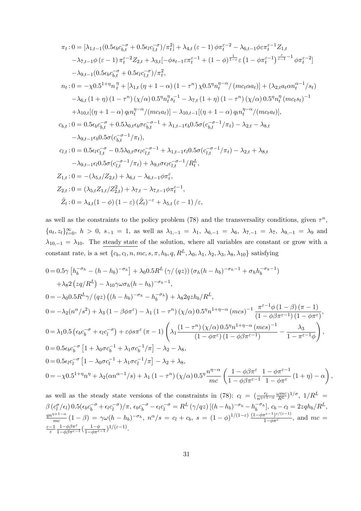$$
\pi_t: 0 = [\lambda_{1,t-1}(0.5\epsilon_b c_{b,t}^{-\sigma} + 0.5\epsilon_l c_{l,t}^{-\sigma})/\pi_t^2] + \lambda_{4,t} (\varepsilon - 1) \phi \pi_t^{\varepsilon - 2} - \lambda_{6,t-1} \phi \varepsilon \pi_t^{\varepsilon - 1} Z_{1,t} \n- \lambda_{7,t-1} \phi (\varepsilon - 1) \pi_t^{\varepsilon - 2} Z_{2,t} + \lambda_{3,t} [-\phi s_{t-1} \varepsilon \pi_t^{\varepsilon - 1} + (1 - \phi)^{\frac{1}{1-\varepsilon}} \varepsilon (1 - \phi \pi_t^{\varepsilon - 1})^{\frac{\varepsilon}{\varepsilon - 1} - 1} \phi \pi_t^{\varepsilon - 2}] \n- \lambda_{9,t-1} (0.5\epsilon_b c_{b,t}^{-\sigma} + 0.5\epsilon_l c_{l,t}^{-\sigma})/\pi_t^2,
$$
  
\n
$$
n_t: 0 = -\chi 0.5^{1+\eta} n_t^{\eta} + [\lambda_{1,t} (\eta + 1 - \alpha) (1 - \tau^n) \chi 0.5^{\eta} n_t^{\eta - \alpha} / (mc_t \alpha a_t)] + (\lambda_{2,t} a_t \alpha n_t^{\alpha - 1}/s_t) \n- \lambda_{6,t} (1 + \eta) (1 - \tau^n) (\chi/\alpha) 0.5^{\eta} n_t^{\eta} s_t^{-1} - \lambda_{7,t} (1 + \eta) (1 - \tau^n) (\chi/\alpha) 0.5^{\eta} n_t^{\eta} (mc_t s_t)^{-1} \n+ \lambda_{10,t} [(\eta + 1 - \alpha) q_t n_t^{\eta - \alpha} / (mc_t a_t)] - \lambda_{10,t-1} [(\eta + 1 - \alpha) q_t n_t^{\eta - \alpha} / (mc_t a_t)],
$$
  
\n
$$
c_{b,t}: 0 = 0.5\epsilon_b c_{b,t}^{-\sigma} + 0.5\lambda_{0,t} \epsilon_b \sigma c_{b,t}^{-\sigma - 1} + \lambda_{1,t-1} \epsilon_b 0.5\sigma (c_{b,t}^{-\sigma - 1} / \pi_t) - \lambda_{2,t} - \lambda_{8,t} \n- \lambda_{9,t-1} \epsilon_b 0.5\sigma (c_{b,t}^{-\sigma - 1} / \pi_t),
$$
  
\n

as well as the constraints to the policy problem (78) and the transversality conditions, given  $\tau^n$ ,  ${a_t, z_t}_{t=0}^{\infty}$ ,  $h > 0$ ,  $s_{-1} = 1$ , as well as  $\lambda_{1,-1} = \lambda_1$ ,  $\lambda_{6,-1} = \lambda_6$ ,  $\lambda_{7,-1} = \lambda_7$ ,  $\lambda_{9,-1} = \lambda_9$  and  $\lambda_{10,-1} = \lambda_{10}$ . The steady state of the solution, where all variables are constant or grow with a constant rate, is a set  $\{c_b, c_l, n, mc, s, \pi, h_b, q, R^L, \lambda_0, \lambda_1, \lambda_2, \lambda_3, \lambda_8, \lambda_{10}\}$  satisfying

$$
0 = 0.5\gamma \left[ h_b^{-\sigma_h} - (h - h_b)^{-\sigma_h} \right] + \lambda_0 0.5 R^L \left( \gamma / (qz) \right) \left( \sigma_h (h - h_b)^{-\sigma_h - 1} + \sigma_h h_b^{-\sigma_h - 1} \right)
$$
  
+  $\lambda_8 2 \left( z q / R^L \right) - \lambda_{10} \gamma \omega \sigma_h (h - h_b)^{-\sigma_h - 1},$   

$$
0 = -\lambda_0 0.5 R^L \gamma / (qz) \left( (h - h_b)^{-\sigma_h} - h_b^{-\sigma_h} \right) + \lambda_8 2 q z h_b / R^L,
$$
  

$$
0 = -\lambda_2 (n^{\alpha}/s^2) + \lambda_3 (1 - \beta \phi \pi^{\varepsilon}) - \lambda_1 (1 - \tau^n) \left( \chi/\alpha \right) 0.5^{\eta} n^{1 + \eta - \alpha} \left( m c s \right)^{-1} \frac{\pi^{\varepsilon - 1} \phi \left( 1 - \beta \right) (\pi - 1)}{\left( 1 - \phi \beta \pi^{\varepsilon - 1} \right) \left( 1 - \phi \pi^{\varepsilon} \right)},
$$
  

$$
0 = \lambda_1 0.5 \left( \epsilon_b c_b^{-\sigma} + \epsilon_l c_l^{-\sigma} \right) + \epsilon \phi s \pi^{\varepsilon} (\pi - 1) \left( \lambda_1 \frac{\left( 1 - \tau^n \right) \left( \chi/\alpha \right) 0.5^{\eta} n^{1 + \eta - \alpha} \left( m c s \right)^{-1}}{\left( 1 - \phi \beta \pi^{\varepsilon - 1} \right)} - \frac{\lambda_3}{1 - \pi^{\varepsilon - 1} \phi} \right),
$$
  

$$
0 = 0.5 \epsilon_b c_b^{-\sigma} \left[ 1 + \lambda_0 \sigma c_b^{-1} + \lambda_1 \sigma c_b^{-1} / \pi \right] - \lambda_2 - \lambda_8,
$$
  

$$
0 = 0.5 \epsilon_l c_l^{-\sigma} \left[ 1 - \lambda_0 \sigma c_l^{-1} + \lambda_1 \sigma c_l^{-1} / \pi \right] - \lambda_2 + \lambda_8,
$$
  

$$
0 = -\chi 0.5^{1 + \eta} n^{\eta} + \lambda_2 (\alpha n^{\alpha - 1}/s) + \lambda
$$

as well as the steady state versions of the constraints in (78):  $c_l = (\frac{\epsilon_l}{n^{\eta+1-\alpha}} \frac{\omega mc}{R^L})^{1/\sigma}$ ,  $1/R^L =$  $\overline{n^{\eta+1-\alpha}}$  $\beta(c_l^{\sigma}/\epsilon_l) 0.5(\epsilon_b c_b^{-\sigma} + \epsilon_l c_l^{-\sigma})/\pi$ ,  $\epsilon_b c_b^{-\sigma} - \epsilon_l c_l^{-\sigma} = R^L (\gamma/qz) [(h-h_b)^{-\sigma_h} - h_b^{-\sigma_h}],$   $c_b - c_l = 2zqh_b/R^L$ ,  $qn^{\eta+1-\alpha}$  $\frac{m}{mc}(1-\beta) = \gamma \omega (h-h_b)^{-\sigma_h}, \ n^{\alpha}/s = c_l + c_b, \ s = (1-\phi)^{1/(1-\varepsilon)} \frac{(1-\phi \pi^{\varepsilon-1})^{\varepsilon/(\varepsilon-1)}}{1-\phi \pi^{\varepsilon}}, \text{ and } mc = 0$  $\frac{\varepsilon - 1}{\varepsilon} \frac{1 - \phi \beta \pi^{\varepsilon}}{1 - \phi \beta \pi^{\varepsilon - 1}} \left( \frac{1 - \phi}{1 - \phi \pi^{\varepsilon - 1}} \right)^{1/(\varepsilon - 1)}.$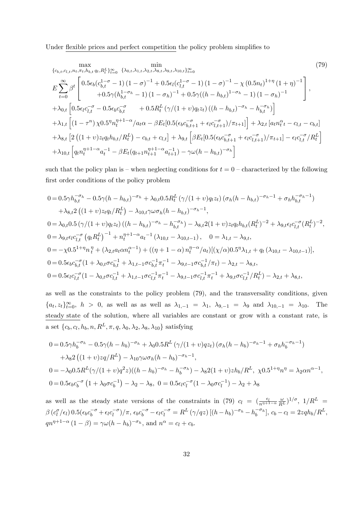Under flexible prices and perfect competition the policy problem simplifies to

$$
\begin{split}\n&\max_{\{c_{b,t},c_{l,t},n_{t},\pi_{t},h_{b,t},q_{t},R_{t}^{L}\}_{t=0}^{\infty}} \quad \min_{\{b_{b,t},b_{b,t},q_{b,t},p_{t},p_{t}^{L}\}_{t=0}^{\infty}} \\
&E\sum_{t=0}^{\infty}\beta^{t}\left[0.5\epsilon_{b}(c_{b,t}^{1-\sigma}-1)(1-\sigma)^{-1}+0.5\epsilon_{l}(c_{l,t}^{1-\sigma}-1)(1-\sigma)^{-1}-\chi(0.5n_{t})^{1+\eta}(1+\eta)^{-1}\right] \\
&+0.5\gamma(h_{b,t}^{1-\sigma_{h}}-1)(1-\sigma_{h})^{-1}+0.5\gamma((h-h_{b,t})^{1-\sigma_{h}}-1)(1-\sigma_{h})^{-1}\right], \\
&+\lambda_{0,t}\left[0.5\epsilon_{l}c_{l,t}^{-\sigma}-0.5\epsilon_{b}c_{b,t}^{-\sigma}+0.5R_{t}^{L}(\gamma/(1+\upsilon)q_{t}z_{t})\left((h-h_{b,t})^{-\sigma_{h}}-h_{b,t}^{-\sigma_{h}}\right)\right] \\
&+\lambda_{1,t}\left[(1-\tau^{n})\chi_{0.5}\eta_{n_{t}}^{\eta+1-\alpha}/a_{t}\alpha-\beta E_{t}[0.5(\epsilon_{b}c_{b,t+1}^{-\sigma}+\epsilon_{l}c_{l,t+1}^{-\sigma})/\pi_{t+1}]\right]+\lambda_{2,t}\left[a_{t}n_{t}^{\alpha}t-c_{l,t}-c_{b,t}\right] \\
&+\lambda_{8,t}\left[2\left((1+\upsilon)z_{t}q_{t}h_{b,t}/R_{t}^{L}\right)-c_{b,t}+c_{l,t}\right]+\lambda_{9,t}\left[\beta E_{t}[0.5(\epsilon_{b}c_{b,t+1}^{-\sigma}+\epsilon_{l}c_{l,t+1}^{-\sigma})/\pi_{t+1}]-\epsilon_{l}c_{l,t}^{-\sigma}/R_{t}^{L}\right] \\
&+\lambda_{10,t}\left[q_{t}n_{t}^{\eta+1-\alpha}a_{t}^{-1}-\beta E_{t}(q_{t+1}n_{t+1}^{\eta+1-\alpha}a_{t+1}^{-1})-\gamma\omega(h-h_{b,t})^{-\sigma_{h}}\right]\n\end{split}
$$

such that the policy plan is – when neglecting conditions for  $t = 0$  – characterized by the following first order conditions of the policy problem

$$
0 = 0.5\gamma h_{b,t}^{-\sigma_h} - 0.5\gamma (h - h_{b,t})^{-\sigma_h} + \lambda_{0,t} 0.5R_t^L (\gamma/(1+v)q_t z_t) (\sigma_h (h - h_{b,t})^{-\sigma_h - 1} + \sigma_h h_{b,t}^{-\sigma_h - 1})
$$
  
+  $\lambda_{8,t} 2 ((1+v)z_t q_t/R_t^L) - \lambda_{10,t} \gamma \omega \sigma_h (h - h_{b,t})^{-\sigma_h - 1},$   

$$
0 = \lambda_{0,t} 0.5 (\gamma/(1+v)q_t z_t) ((h - h_{b,t})^{-\sigma_h} - h_{b,t}^{-\sigma_h}) - \lambda_{8,t} 2(1+v)z_t q_t h_{b,t} (R_t^L)^{-2} + \lambda_{9,t} \epsilon_t c_{l,t}^{-\sigma} (R_t^L)^{-2},
$$
  

$$
0 = \lambda_{9,t} \epsilon_t c_{l,t}^{-\sigma} (q_t R_t^L)^{-1} + n_t^{\eta+1-\alpha} a_t^{-1} (\lambda_{10,t} - \lambda_{10,t-1}), \quad 0 = \lambda_{1,t} - \lambda_{9,t},
$$
  

$$
0 = -\chi 0.5^{1+\eta} n_t^{\eta} + (\lambda_{2,t} a_t \alpha n_t^{\alpha-1}) + ((\eta + 1 - \alpha) n_t^{\eta-\alpha}/a_t)[(\chi/\alpha) 0.5^{\eta} \lambda_{1,t} + q_t (\lambda_{10,t} - \lambda_{10,t-1})],
$$
  

$$
0 = 0.5 \epsilon_b c_{b,t}^{-\sigma} (1 + \lambda_{0,t} \sigma c_{b,t}^{-1} + \lambda_{1,t-1} \sigma c_{b,t}^{-1} \pi_t^{-1} - \lambda_{9,t-1} \sigma c_{b,t}^{-1} / \pi_t) - \lambda_{2,t} - \lambda_{8,t},
$$
  

$$
0 = 0.5 \epsilon_t c_{l,t}^{-\sigma} (1 - \lambda_{0,t} \sigma c_{l,t}^{-1} + \lambda_{1,t-1} \sigma c_{l,t}^{-1} \pi_t^{-1} - \lambda_{9,t-1} \sigma c_{l,t}^{-1} \pi_t^{-1} + \lambda_{9,t} \sigma c_{l,t}^{-1} / R_t^L) - \lambda_{2,t} + \lambda_{8,t},
$$

as well as the constraints to the policy problem (79), and the transversality conditions, given  ${a_t, z_t}_{t=0}^{\infty}$ ,  $h > 0$ , as well as as well as  $\lambda_{1,-1} = \lambda_1$ ,  $\lambda_{9,-1} = \lambda_9$  and  $\lambda_{10,-1} = \lambda_{10}$ . The steady state of the solution, where all variables are constant or grow with a constant rate, is a set  $\{c_b, c_l, h_b, n, R^L, \pi, q, \lambda_0, \lambda_2, \lambda_8, \lambda_{10}\}$  satisfying

$$
0 = 0.5\gamma h_b^{-\sigma_h} - 0.5\gamma (h - h_b)^{-\sigma_h} + \lambda_0 0.5 R^L \left( \gamma / (1 + v) q z_t \right) \left( \sigma_h (h - h_b)^{-\sigma_h - 1} + \sigma_h h_b^{-\sigma_h - 1} \right)
$$
  
+  $\lambda_8 2 \left( (1 + v) z q / R^L \right) - \lambda_{10} \gamma \omega \sigma_h (h - h_b)^{-\sigma_h - 1},$   

$$
0 = -\lambda_0 0.5 R^L (\gamma / (1 + v) q^2 z) \left( (h - h_b)^{-\sigma_h} - h_b^{-\sigma_h} \right) - \lambda_8 2 (1 + v) z h_b / R^L, \ \chi 0.5^{1 + \eta} n^{\eta} = \lambda_2 \alpha n^{\alpha - 1},
$$
  

$$
0 = 0.5 \epsilon_b c_b^{-\sigma} \left( 1 + \lambda_0 \sigma c_b^{-1} \right) - \lambda_2 - \lambda_8, \ 0 = 0.5 \epsilon_l c_l^{-\sigma} (1 - \lambda_0 \sigma c_l^{-1}) - \lambda_2 + \lambda_8
$$

as well as the steady state versions of the constraints in (79)  $c_l = (\frac{\epsilon_l}{n^{\eta+1-\alpha}} \frac{\omega}{R^L})^{1/\sigma}$ ,  $1/R^L =$  $\beta(c_l^{\sigma}/\epsilon_l) 0.5(\epsilon_b c_b^{-\sigma} + \epsilon_l c_l^{-\sigma})/\pi$ ,  $\epsilon_b c_b^{-\sigma} - \epsilon_l c_l^{-\sigma} = R^L (\gamma/qz) [(h-h_b)^{-\sigma_h} - h_b^{-\sigma_h}],$   $c_b - c_l = 2zqh_b/R^L$ ,  $qn^{\eta+1-\alpha}(1-\beta) = \gamma \omega (h-h_b)^{-\sigma_h}$ , and  $n^{\alpha} = c_l + c_b$ .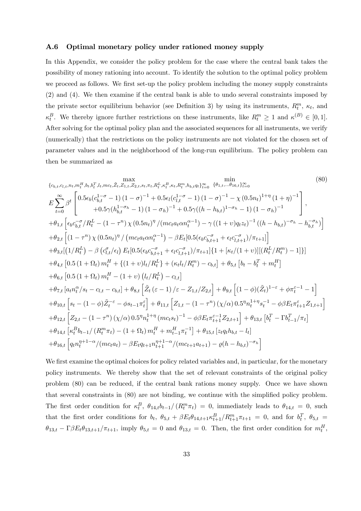### A.6 Optimal monetary policy under rationed money supply

In this Appendix, we consider the policy problem for the case where the central bank takes the possibility of money rationing into account. To identify the solution to the optimal policy problem we proceed as follows. We first set-up the policy problem including the money supply constraints (2) and (4). We then examine if the central bank is able to undo several constraints imposed by the private sector equilibrium behavior (see Definition 3) by using its instruments,  $R_t^m$ ,  $\kappa_t$ , and  $\kappa_t^B$ . We thereby ignore further restrictions on these instruments, like  $R_t^m \geq 1$  and  $\kappa^{(B)} \in [0,1]$ . After solving for the optimal policy plan and the associated sequences for all instruments, we verify (numerically) that the restrictions on the policy instruments are not violated for the chosen set of parameter values and in the neighborhood of the long-run equilibrium. The policy problem can then be summarized as

$$
\begin{split}\n&\sum_{(b_{b,t},c_{l,t},n_{t},m_{t}^{H},b_{t},b_{t}^{T},l_{t},m_{c},\tilde{Z}_{t},Z_{1,t},Z_{2,t},s_{t},\pi_{t},R_{t}^{L},\kappa_{t}^{B},\kappa_{t},R_{t}^{m},h_{b,t}q_{t})\underset{i=0}{\approx}{}&\frac{\min}{\{b_{1,t},\ldots\theta_{16,t}\}_{t=0}^{\infty}} \\
&E\sum_{t=0}^{\infty}\beta^{t}\left[0.5\epsilon_{b}(c_{b,t}^{1-\sigma}-1)(1-\sigma)^{-1}+0.5\epsilon_{l}(c_{l,t}^{1-\sigma}-1)(1-\sigma)^{-1}-\chi(0.5n_{t})^{1+\eta}(1+\eta)^{-1}\right], \\
&+ \theta_{1,t}\left[\epsilon_{b}c_{b,t}^{-\sigma}/R_{t}^{L}-(1-\tau^{n})\chi(0.5n_{t})^{\eta}/(mc_{t}a_{t}\alpha\alpha_{t}^{\alpha-1})-\gamma((1+\nu)q_{t}z_{t})^{-1}((h-h_{b,t})^{-\sigma_{h}}-h_{b,t}^{-\sigma_{h}})\right] \\
&+ \theta_{2,t}\left[(1-\tau^{n})\chi(0.5n_{t})^{\eta}/(mc_{t}a_{t}\alpha\alpha_{t}^{\alpha-1})-\beta E_{t}[0.5(\epsilon_{b}c_{b,t+1}^{-\sigma}+\epsilon_{t}c_{l,t+1}^{-\sigma})/\pi_{t+1}]\right] \\
&+ \theta_{3,t}[(1/R_{t}^{L})-\beta(c_{l,t}^{\sigma}/\epsilon_{l})E_{t}[0.5(\epsilon_{b}c_{b,t+1}^{-\sigma}+\epsilon_{l}c_{l,t+1}^{-\sigma})/\pi_{t+1}]\{1+[\kappa_{t}/(1+\nu)][(R_{t}^{L}/R_{t}^{m})-1]\}] \\
&+ \theta_{4,t}\left[0.5(1+\Omega_{t})m_{t}^{H}+\{(1+\nu)l_{t}/R_{t}^{L}\}+\kappa_{t}l_{t}^{L}/R_{t}^{m})-c_{b,t}\right]+\theta_{5,t}\left[b_{t}-b_{t}^{T}+m_{t}^{H}\right] \\
&+ \theta_{6,t}\left[0.5(1+\Omega_{t})m_{t}^{H}-(1+\nu)\left(l_{t}/R_{t}^{L}\right)-c_{l,t}\right] \\
&+ \theta_{7,t}\
$$

We first examine the optimal choices for policy related variables and, in particular, for the monetary policy instruments. We thereby show that the set of relevant constraints of the original policy problem (80) can be reduced, if the central bank rations money supply. Once we have shown that several constraints in (80) are not binding, we continue with the simplified policy problem. The first order condition for  $\kappa_t^B$ ,  $\theta_{14,t}b_{t-1}/(R_t^m\pi_t) = 0$ , immediately leads to  $\theta_{14,t} = 0$ , such that the first order conditions for  $b_t$ ,  $\theta_{5,t} + \beta E_t \theta_{14,t+1} \kappa_{t+1}^B / R_{t+1}^m \pi_{t+1} = 0$ , and for  $b_t^T$ ,  $\theta_{5,t} =$  $\theta_{13,t} - \Gamma \beta E_t \theta_{13,t+1}/\pi_{t+1}$ , imply  $\theta_{5,t} = 0$  and  $\theta_{13,t} = 0$ . Then, the first order condition for  $m_t^H$ ,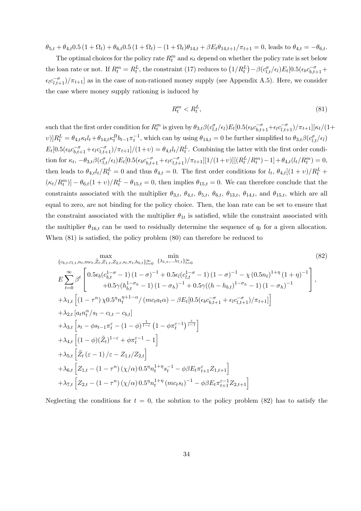$\theta_{5,t} + \theta_{4,t} 0.5 (1 + \Omega_t) + \theta_{6,t} 0.5 (1 + \Omega_t) - (1 + \Omega_t) \theta_{14,t} + \beta E_t \theta_{14,t+1}/\pi_{t+1} = 0$ , leads to  $\theta_{4,t} = -\theta_{6,t}$ .

The optimal choices for the policy rate  $R_t^m$  and  $\kappa_t$  depend on whether the policy rate is set below the loan rate or not. If  $R_t^m = R_t^L$ , the constraint (17) reduces to  $(1/R_t^L) - \beta(c_{l,t}^{\sigma}/\epsilon_l)E_t[0.5(\epsilon_b c_{b,t+1}^{-\sigma} +$  $\epsilon_l c_{l,t+1}^{-\sigma}/\pi_{t+1}$  as in the case of non-rationed money supply (see Appendix A.5). Here, we consider the case where money supply rationing is induced by

$$
R_t^m < R_t^L,\tag{81}
$$

such that the first order condition for  $R_t^m$  is given by  $\theta_{3,t}\beta(c_{l,t}^{\sigma}/\epsilon_l)E_t[0.5(\epsilon_b c_{b,t+1}^{-\sigma}+\epsilon_l c_{l,t+1}^{-\sigma})/\pi_{t+1}][\kappa_t/(1+\epsilon_l)^{-\sigma}]$  $[v]R_t^L = \theta_{4,t} \kappa_t l_t + \theta_{14,t} \kappa_t^B b_{t-1} \pi_t^{-1}$ , which can by using  $\theta_{14,t} = 0$  be further simplified to  $\theta_{3,t} \beta(c_{l,t}^{\sigma}/\epsilon_l)$  $E_t[0.5(\epsilon_b c_{b,t+1}^{-\sigma} + \epsilon_l c_{l,t+1}^{-\sigma})/\pi_{t+1}]/(1+v) = \theta_{4,t} l_t/R_t^L$ . Combining the latter with the first order condition for  $\kappa_t$ ,  $-\theta_{3,t}\beta(c_{l,t}^{\sigma}/\epsilon_l)E_t[0.5(\epsilon_b c_{b,t+1}^{-\sigma}+\epsilon_l c_{l,t+1}^{-\sigma})/\pi_{t+1}][1/(1+\upsilon)][(R_t^L/R_t^m)-1]+\theta_{4,t}(l_t/R_t^m)=0,$ then leads to  $\theta_{4,t}l_t/R_t^L = 0$  and thus  $\theta_{4,t} = 0$ . The first order conditions for  $l_t$ ,  $\theta_{4,t}[(1 + v)/R_t^L +$  $(\kappa_t/R_t^m)$  –  $\theta_{6,t}(1+v)/R_t^L - \theta_{15,t} = 0$ , then implies  $\theta_{15,t} = 0$ . We can therefore conclude that the constraints associated with the multiplier  $\theta_{3,t}$ ,  $\theta_{4,t}$ ,  $\theta_{5,t}$ ,  $\theta_{6,t}$ ,  $\theta_{13,t}$ ,  $\theta_{14,t}$ , and  $\theta_{15,t}$ , which are all equal to zero, are not binding for the policy choice. Then, the loan rate can be set to ensure that the constraint associated with the multiplier  $\theta_{1t}$  is satisfied, while the constraint associated with the multiplier  $\theta_{16,t}$  can be used to residually determine the sequence of  $q_t$  for a given allocation. When  $(81)$  is satisfied, the policy problem  $(80)$  can therefore be reduced to

$$
\begin{split}\n&\sum_{\{c_{b,t},c_{l,t},n_{t},mc_{t},\tilde{Z}_{t},Z_{1,t},Z_{2,t},s_{t},\pi_{t},h_{b,t}\}_{t=0}^{\infty} \{ \lambda_{1,t},...,\lambda_{7,t}\}_{t=0}^{\infty} \\
&E\sum_{t=0}^{\infty}\beta^{t}\left[ 0.5\epsilon_{b}(c_{b,t}^{1-\sigma}-1)(1-\sigma)^{-1}+0.5\epsilon_{l}(c_{l,t}^{1-\sigma}-1)(1-\sigma)^{-1}-\chi(0.5n_{t})^{1+\eta}(1+\eta)^{-1} \right] \\
&+0.5\gamma(h_{b,t}^{1-\sigma_{h}}-1)(1-\sigma_{h})^{-1}+0.5\gamma((h-h_{b,t})^{1-\sigma_{h}}-1)(1-\sigma_{h})^{-1} \right], \\
&+\lambda_{1,t}\left[ (1-\tau^{n})\chi 0.5^{n}n_{t}^{\eta+1-\alpha}/(mc_{t}a_{t}\alpha)-\beta E_{t}[0.5(\epsilon_{b}c_{b,t+1}^{-\sigma}+\epsilon_{l}c_{l,t+1}^{-\sigma})/\pi_{t+1}] \right] \\
&+\lambda_{2,t}\left[a_{t}n_{t}^{\alpha}/s_{t}-c_{l,t}-c_{b,t}\right] \\
&+\lambda_{3,t}\left[s_{t}-\phi s_{t-1}\pi_{t}^{\varepsilon}-(1-\phi)^{\frac{1}{1-\varepsilon}}\left(1-\phi\pi_{t}^{\varepsilon-1}\right)^{\frac{\varepsilon}{\varepsilon-1}}\right] \\
&+\lambda_{4,t}\left[ (1-\phi)(\tilde{Z}_{t})^{1-\varepsilon}+\phi\pi_{t}^{\varepsilon-1}-1 \right] \\
&+\lambda_{5,t}\left[\tilde{Z}_{t}(\varepsilon-1)/\varepsilon-Z_{1,t}/Z_{2,t}\right] \\
&+\lambda_{6,t}\left[Z_{1,t}-(1-\tau^{n})(\chi/\alpha)\left(0.5^{n}n_{t}^{1+\eta}s_{t}^{-1}-\phi\beta E_{t}\pi_{t+1}^{\varepsilon}Z_{1,t+1}\right] \\
&+\lambda_{7,t}\left[Z_{2,t}-(1-\tau^{n})(\chi/\alpha)\left(0.5^{n}n_{t}^{1+\eta}(mc_{t}s_{t})^{-1}-\phi\beta E_{t}\pi_{t+1}^{\varepsilon-1}Z_{2,t+1}\right]\n\end{split}
$$

Neglecting the conditions for  $t = 0$ , the solution to the policy problem (82) has to satisfy the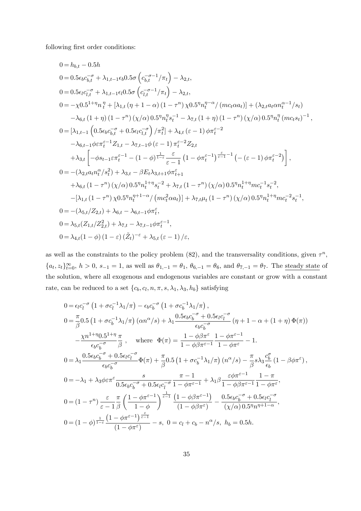following first order conditions:

$$
0 = h_{b,t} - 0.5h
$$
  
\n
$$
0 = 0.5\epsilon_b c_{b,t}^{-\sigma} + \lambda_{1,t-1}\epsilon_b 0.5\sigma \left(c_{b,t}^{-\sigma-1}/\pi_t\right) - \lambda_{2,t},
$$
  
\n
$$
0 = 0.5\epsilon_l c_{l,t}^{-\sigma} + \lambda_{1,t-1}\epsilon_l 0.5\sigma \left(c_{l,t}^{-\sigma-1}/\pi_t\right) - \lambda_{2,t},
$$
  
\n
$$
0 = -\chi 0.5^{1+\eta} n_t^{\eta} + \left[\lambda_{1,t} \left(\eta + 1 - \alpha\right) \left(1 - \tau^n\right) \chi 0.5^{\eta} n_t^{\eta - \alpha} / \left(m c_t \alpha a_t\right)\right] + \left(\lambda_{2,t} a_t \alpha n_t^{\alpha - 1}/s_t\right)
$$
  
\n
$$
-\lambda_{6,t} \left(1 + \eta\right) \left(1 - \tau^n\right) \left(\chi/\alpha\right) 0.5^{\eta} n_t^{\eta} s_t^{-1} - \lambda_{7,t} \left(1 + \eta\right) \left(1 - \tau^n\right) \left(\chi/\alpha\right) 0.5^{\eta} n_t^{\eta} \left(m c_t s_t\right)^{-1},
$$
  
\n
$$
0 = \left[\lambda_{1,t-1} \left(0.5\epsilon_b \epsilon_{b,t}^{-\sigma} + 0.5\epsilon_t c_{l,t}^{-\sigma}\right) / \pi_t^2\right] + \lambda_{4,t} \left(\epsilon - 1\right) \phi \pi_t^{\epsilon - 2}
$$
  
\n
$$
-\lambda_{6,t-1} \phi \varepsilon \pi_t^{\epsilon - 1} Z_{1,t} - \lambda_{7,t-1} \phi \left(\epsilon - 1\right) \pi_t^{\epsilon - 2} Z_{2,t}
$$
  
\n
$$
+ \lambda_{3,t} \left[ -\phi s_{t-1} \varepsilon \pi_t^{\epsilon - 1} - \left(1 - \phi\right) \frac{1 - \epsilon}{1 - \epsilon} \frac{\epsilon}{\epsilon - 1} \left(1 - \phi \pi_t^{\epsilon - 1}\right) \frac{\epsilon}{\epsilon - 1}^{-1} \left(-\left(\epsilon - 1\right) \phi \pi_t^{\epsilon - 2}\right) \right],
$$
  
\n
$$
0 = -\left(\lambda_{2,t} a_t n
$$

as well as the constraints to the policy problem  $(82)$ , and the transversality conditions, given  $\tau^n$ ,  ${a_t, z_t}_{t=0}^{\infty}$ ,  $h > 0$ ,  $s_{-1} = 1$ , as well as  $\theta_{1,-1} = \theta_1$ ,  $\theta_{6,-1} = \theta_6$ , and  $\theta_{7,-1} = \theta_7$ . The steady state of the solution, where all exogenous and endogenous variables are constant or grow with a constant rate, can be reduced to a set  $\{c_b, c_l, n, \pi, s, \lambda_1, \lambda_3, h_b\}$  satisfying

$$
0 = \epsilon_l c_l^{-\sigma} \left(1 + \sigma c_l^{-1} \lambda_1/\pi\right) - \epsilon_b c_b^{-\sigma} \left(1 + \sigma c_b^{-1} \lambda_1/\pi\right),
$$
  
\n
$$
0 = \frac{\pi}{\beta} 0.5 \left(1 + \sigma c_b^{-1} \lambda_1/\pi\right) \left(\alpha n^{\alpha}/s\right) + \lambda_1 \frac{0.5 \epsilon_b c_b^{-\sigma} + 0.5 \epsilon_l c_l^{-\sigma}}{\epsilon_b c_b^{-\sigma}} \left(\eta + 1 - \alpha + (1 + \eta) \Phi(\pi)\right)
$$
  
\n
$$
-\frac{\chi n^{1+\eta} 0.5^{1+\eta}}{\epsilon_b c_b^{-\sigma}} \frac{\pi}{\beta}, \quad \text{where } \Phi(\pi) = \frac{1 - \phi \beta \pi^{\varepsilon}}{1 - \phi \beta \pi^{\varepsilon - 1}} \frac{1 - \phi \pi^{\varepsilon - 1}}{1 - \phi \pi^{\varepsilon}} - 1.
$$
  
\n
$$
0 = \lambda_1 \frac{0.5 \epsilon_b c_b^{-\sigma} + 0.5 \epsilon_l c_l^{-\sigma}}{\epsilon_b c_b^{-\sigma}} \Phi(\pi) + \frac{\pi}{\beta} 0.5 \left(1 + \sigma c_b^{-1} \lambda_1/\pi\right) \left(n^{\alpha}/s\right) - \frac{\pi}{\beta} s \lambda_3 \frac{c_b^{\sigma}}{\epsilon_b} \left(1 - \beta \phi \pi^{\varepsilon}\right),
$$
  
\n
$$
0 = -\lambda_1 + \lambda_3 \phi \varepsilon \pi^{\varepsilon} \frac{s}{0.5 \epsilon_b c_b^{-\sigma} + 0.5 \epsilon_l c_l^{-\sigma}} \frac{\pi - 1}{1 - \phi \pi^{\varepsilon - 1}} + \lambda_1 \beta \frac{\varepsilon \phi \pi^{\varepsilon - 1}}{1 - \phi \beta \pi^{\varepsilon - 1}} \frac{1 - \pi}{1 - \phi \pi^{\varepsilon}},
$$
  
\n
$$
0 = \left(1 - \tau^n\right) \frac{\varepsilon}{\varepsilon - 1} \frac{\pi}{\beta} \left( \frac{1 - \phi \pi^{\varepsilon - 1}}{1 - \phi} \right)^{\frac{1}{\varepsilon - 1}} \frac{\left(1 - \phi \beta \pi^{\varepsilon - 1}\right)}{\left(1 - \phi \beta \pi^{\varepsilon}\right
$$